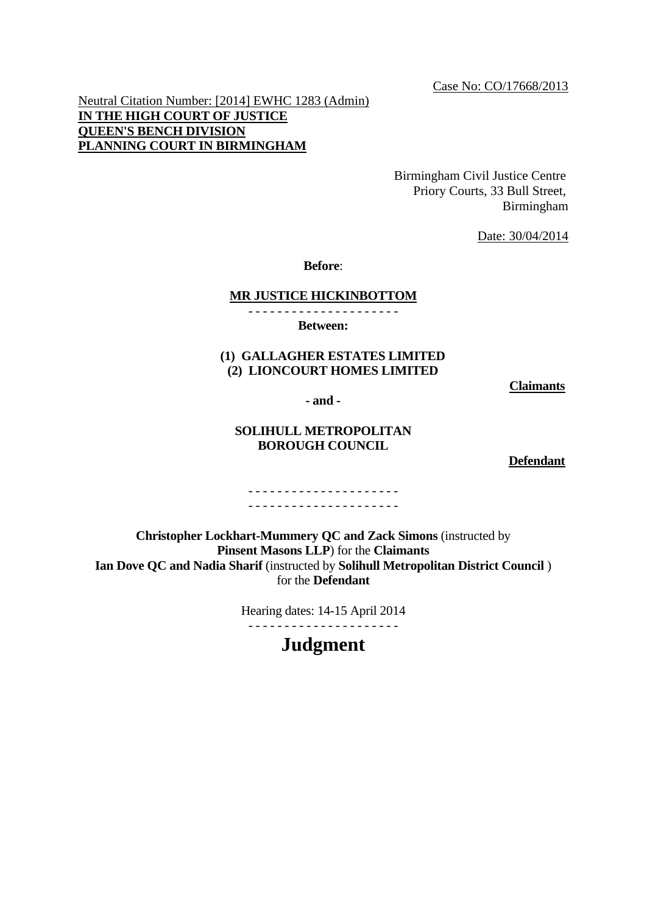Case No: CO/17668/2013

Neutral Citation Number: [2014] EWHC 1283 (Admin) **IN THE HIGH COURT OF JUSTICE QUEEN'S BENCH DIVISION PLANNING COURT IN BIRMINGHAM**

> Birmingham Civil Justice Centre Priory Courts, 33 Bull Street, Birmingham

> > Date: 30/04/2014

**Before**:

#### **MR JUSTICE HICKINBOTTOM**

- - - - - - - - - - - - - - - - - - - - -

**Between:**

# **(1) GALLAGHER ESTATES LIMITED (2) LIONCOURT HOMES LIMITED**

**Claimants**

**- and -**

#### **SOLIHULL METROPOLITAN BOROUGH COUNCIL**

**Defendant**

#### - - - - - - - - - - - - - - - - - - - - - - - - - - - - - - - - - - - - - - - - - -

**Christopher Lockhart-Mummery QC and Zack Simons** (instructed by **Pinsent Masons LLP**) for the **Claimants Ian Dove QC and Nadia Sharif** (instructed by **Solihull Metropolitan District Council** ) for the **Defendant**

> Hearing dates: 14-15 April 2014 - - - - - - - - - - - - - - - - - - - - -

# **Judgment**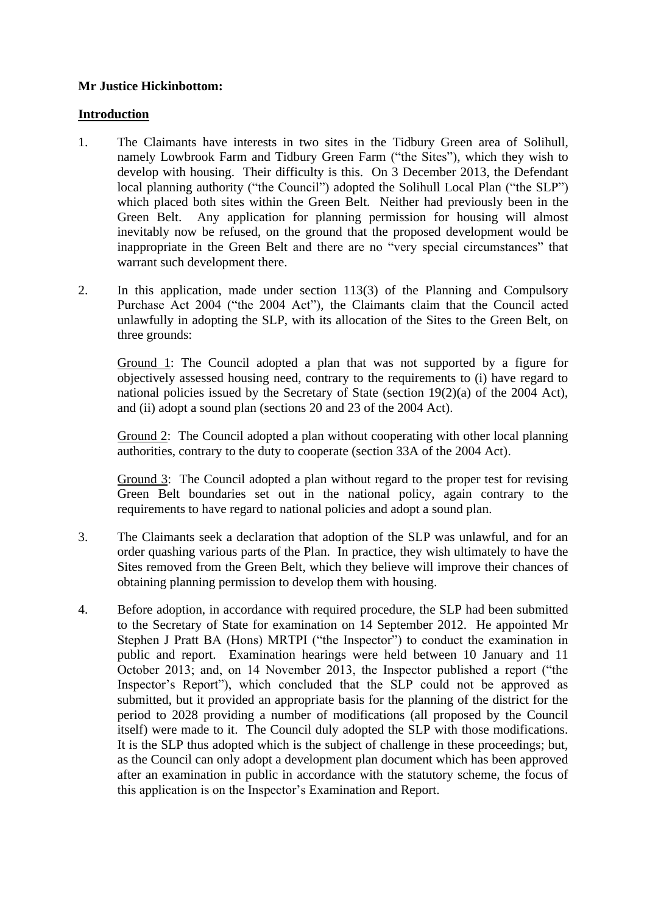# **Mr Justice Hickinbottom:**

## **Introduction**

- 1. The Claimants have interests in two sites in the Tidbury Green area of Solihull, namely Lowbrook Farm and Tidbury Green Farm ("the Sites"), which they wish to develop with housing. Their difficulty is this. On 3 December 2013, the Defendant local planning authority ("the Council") adopted the Solihull Local Plan ("the SLP") which placed both sites within the Green Belt. Neither had previously been in the Green Belt. Any application for planning permission for housing will almost inevitably now be refused, on the ground that the proposed development would be inappropriate in the Green Belt and there are no "very special circumstances" that warrant such development there.
- 2. In this application, made under section 113(3) of the Planning and Compulsory Purchase Act 2004 ("the 2004 Act"), the Claimants claim that the Council acted unlawfully in adopting the SLP, with its allocation of the Sites to the Green Belt, on three grounds:

Ground 1: The Council adopted a plan that was not supported by a figure for objectively assessed housing need, contrary to the requirements to (i) have regard to national policies issued by the Secretary of State (section 19(2)(a) of the 2004 Act), and (ii) adopt a sound plan (sections 20 and 23 of the 2004 Act).

Ground 2: The Council adopted a plan without cooperating with other local planning authorities, contrary to the duty to cooperate (section 33A of the 2004 Act).

Ground 3: The Council adopted a plan without regard to the proper test for revising Green Belt boundaries set out in the national policy, again contrary to the requirements to have regard to national policies and adopt a sound plan.

- 3. The Claimants seek a declaration that adoption of the SLP was unlawful, and for an order quashing various parts of the Plan. In practice, they wish ultimately to have the Sites removed from the Green Belt, which they believe will improve their chances of obtaining planning permission to develop them with housing.
- 4. Before adoption, in accordance with required procedure, the SLP had been submitted to the Secretary of State for examination on 14 September 2012. He appointed Mr Stephen J Pratt BA (Hons) MRTPI ("the Inspector") to conduct the examination in public and report. Examination hearings were held between 10 January and 11 October 2013; and, on 14 November 2013, the Inspector published a report ("the Inspector's Report"), which concluded that the SLP could not be approved as submitted, but it provided an appropriate basis for the planning of the district for the period to 2028 providing a number of modifications (all proposed by the Council itself) were made to it. The Council duly adopted the SLP with those modifications. It is the SLP thus adopted which is the subject of challenge in these proceedings; but, as the Council can only adopt a development plan document which has been approved after an examination in public in accordance with the statutory scheme, the focus of this application is on the Inspector's Examination and Report.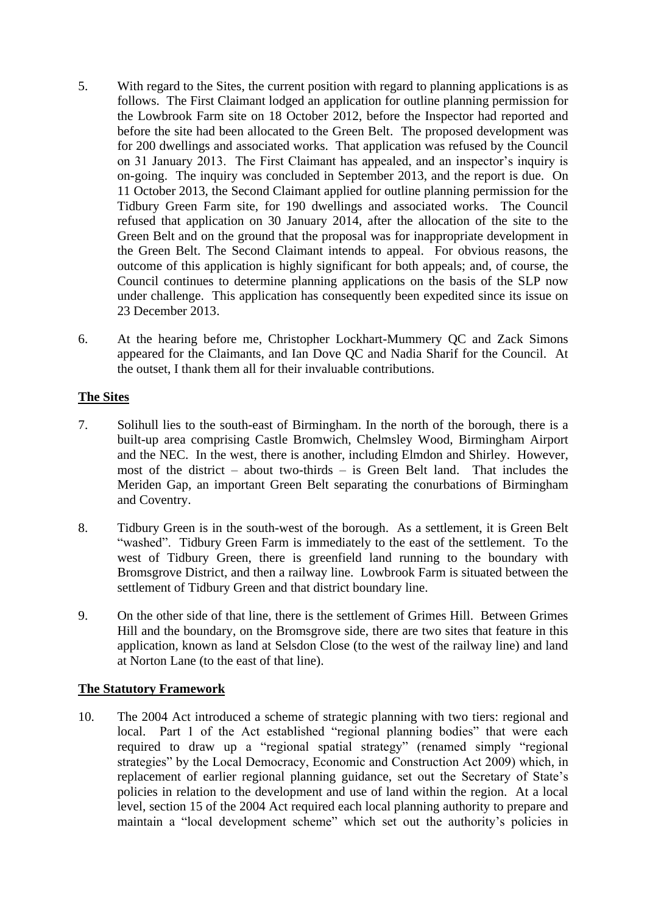- 5. With regard to the Sites, the current position with regard to planning applications is as follows. The First Claimant lodged an application for outline planning permission for the Lowbrook Farm site on 18 October 2012, before the Inspector had reported and before the site had been allocated to the Green Belt. The proposed development was for 200 dwellings and associated works. That application was refused by the Council on 31 January 2013. The First Claimant has appealed, and an inspector's inquiry is on-going. The inquiry was concluded in September 2013, and the report is due. On 11 October 2013, the Second Claimant applied for outline planning permission for the Tidbury Green Farm site, for 190 dwellings and associated works. The Council refused that application on 30 January 2014, after the allocation of the site to the Green Belt and on the ground that the proposal was for inappropriate development in the Green Belt. The Second Claimant intends to appeal. For obvious reasons, the outcome of this application is highly significant for both appeals; and, of course, the Council continues to determine planning applications on the basis of the SLP now under challenge. This application has consequently been expedited since its issue on 23 December 2013.
- 6. At the hearing before me, Christopher Lockhart-Mummery QC and Zack Simons appeared for the Claimants, and Ian Dove QC and Nadia Sharif for the Council. At the outset, I thank them all for their invaluable contributions.

# **The Sites**

- 7. Solihull lies to the south-east of Birmingham. In the north of the borough, there is a built-up area comprising Castle Bromwich, Chelmsley Wood, Birmingham Airport and the NEC. In the west, there is another, including Elmdon and Shirley. However, most of the district – about two-thirds – is Green Belt land. That includes the Meriden Gap, an important Green Belt separating the conurbations of Birmingham and Coventry.
- 8. Tidbury Green is in the south-west of the borough. As a settlement, it is Green Belt "washed". Tidbury Green Farm is immediately to the east of the settlement. To the west of Tidbury Green, there is greenfield land running to the boundary with Bromsgrove District, and then a railway line. Lowbrook Farm is situated between the settlement of Tidbury Green and that district boundary line.
- 9. On the other side of that line, there is the settlement of Grimes Hill. Between Grimes Hill and the boundary, on the Bromsgrove side, there are two sites that feature in this application, known as land at Selsdon Close (to the west of the railway line) and land at Norton Lane (to the east of that line).

# **The Statutory Framework**

10. The 2004 Act introduced a scheme of strategic planning with two tiers: regional and local. Part 1 of the Act established "regional planning bodies" that were each required to draw up a "regional spatial strategy" (renamed simply "regional strategies" by the Local Democracy, Economic and Construction Act 2009) which, in replacement of earlier regional planning guidance, set out the Secretary of State's policies in relation to the development and use of land within the region. At a local level, section 15 of the 2004 Act required each local planning authority to prepare and maintain a "local development scheme" which set out the authority's policies in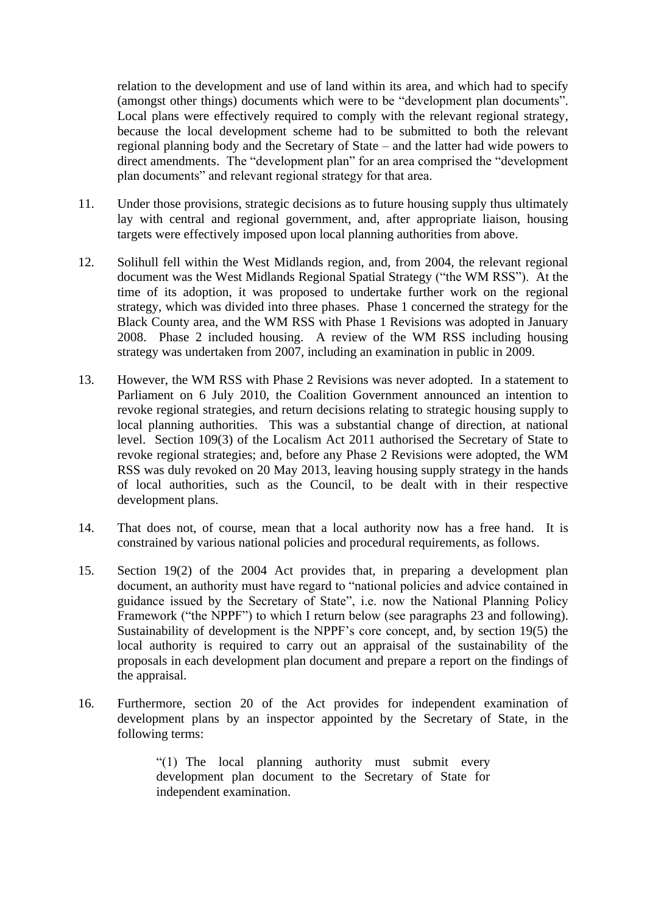relation to the development and use of land within its area, and which had to specify (amongst other things) documents which were to be "development plan documents". Local plans were effectively required to comply with the relevant regional strategy, because the local development scheme had to be submitted to both the relevant regional planning body and the Secretary of State – and the latter had wide powers to direct amendments. The "development plan" for an area comprised the "development plan documents" and relevant regional strategy for that area.

- 11. Under those provisions, strategic decisions as to future housing supply thus ultimately lay with central and regional government, and, after appropriate liaison, housing targets were effectively imposed upon local planning authorities from above.
- 12. Solihull fell within the West Midlands region, and, from 2004, the relevant regional document was the West Midlands Regional Spatial Strategy ("the WM RSS"). At the time of its adoption, it was proposed to undertake further work on the regional strategy, which was divided into three phases. Phase 1 concerned the strategy for the Black County area, and the WM RSS with Phase 1 Revisions was adopted in January 2008. Phase 2 included housing. A review of the WM RSS including housing strategy was undertaken from 2007, including an examination in public in 2009.
- 13. However, the WM RSS with Phase 2 Revisions was never adopted. In a statement to Parliament on 6 July 2010, the Coalition Government announced an intention to revoke regional strategies, and return decisions relating to strategic housing supply to local planning authorities. This was a substantial change of direction, at national level. Section 109(3) of the Localism Act 2011 authorised the Secretary of State to revoke regional strategies; and, before any Phase 2 Revisions were adopted, the WM RSS was duly revoked on 20 May 2013, leaving housing supply strategy in the hands of local authorities, such as the Council, to be dealt with in their respective development plans.
- 14. That does not, of course, mean that a local authority now has a free hand. It is constrained by various national policies and procedural requirements, as follows.
- 15. Section 19(2) of the 2004 Act provides that, in preparing a development plan document, an authority must have regard to "national policies and advice contained in guidance issued by the Secretary of State", i.e. now the National Planning Policy Framework ("the NPPF") to which I return below (see paragraphs 23 and following). Sustainability of development is the NPPF's core concept, and, by section 19(5) the local authority is required to carry out an appraisal of the sustainability of the proposals in each development plan document and prepare a report on the findings of the appraisal.
- 16. Furthermore, section 20 of the Act provides for independent examination of development plans by an inspector appointed by the Secretary of State, in the following terms:

"(1) The local planning authority must submit every development plan document to the Secretary of State for independent examination.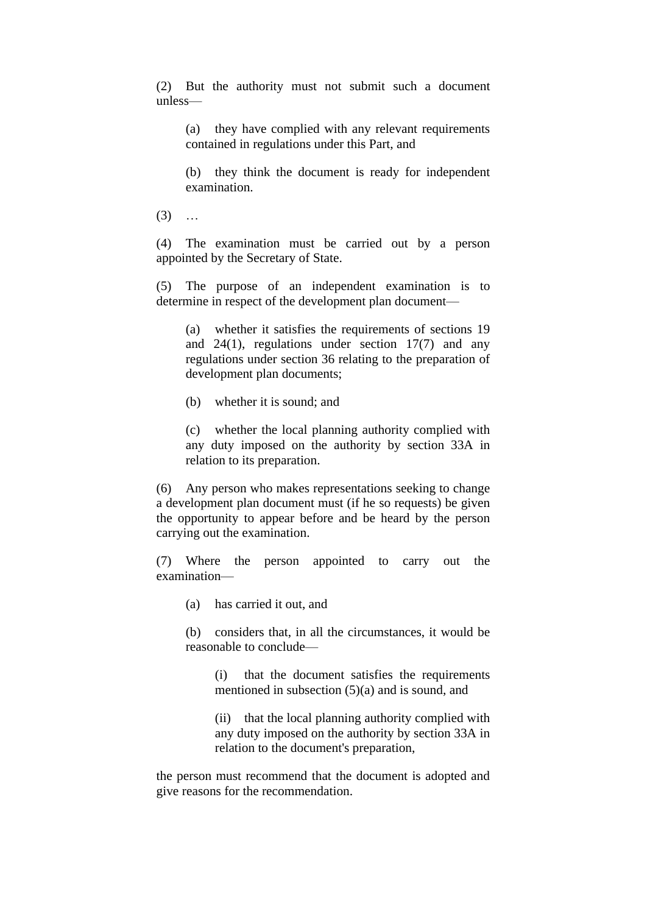(2) But the authority must not submit such a document unless—

(a) they have complied with any relevant requirements contained in regulations under this Part, and

(b) they think the document is ready for independent examination.

 $(3)$  ...

(4) The examination must be carried out by a person appointed by the Secretary of State.

(5) The purpose of an independent examination is to determine in respect of the development plan document—

(a) whether it satisfies the requirements of sections 19 and 24(1), regulations under section 17(7) and any regulations under section 36 relating to the preparation of development plan documents;

(b) whether it is sound; and

(c) whether the local planning authority complied with any duty imposed on the authority by section 33A in relation to its preparation.

(6) Any person who makes representations seeking to change a development plan document must (if he so requests) be given the opportunity to appear before and be heard by the person carrying out the examination.

(7) Where the person appointed to carry out the examination—

(a) has carried it out, and

(b) considers that, in all the circumstances, it would be reasonable to conclude—

(i) that the document satisfies the requirements mentioned in subsection (5)(a) and is sound, and

(ii) that the local planning authority complied with any duty imposed on the authority by section 33A in relation to the document's preparation,

the person must recommend that the document is adopted and give reasons for the recommendation.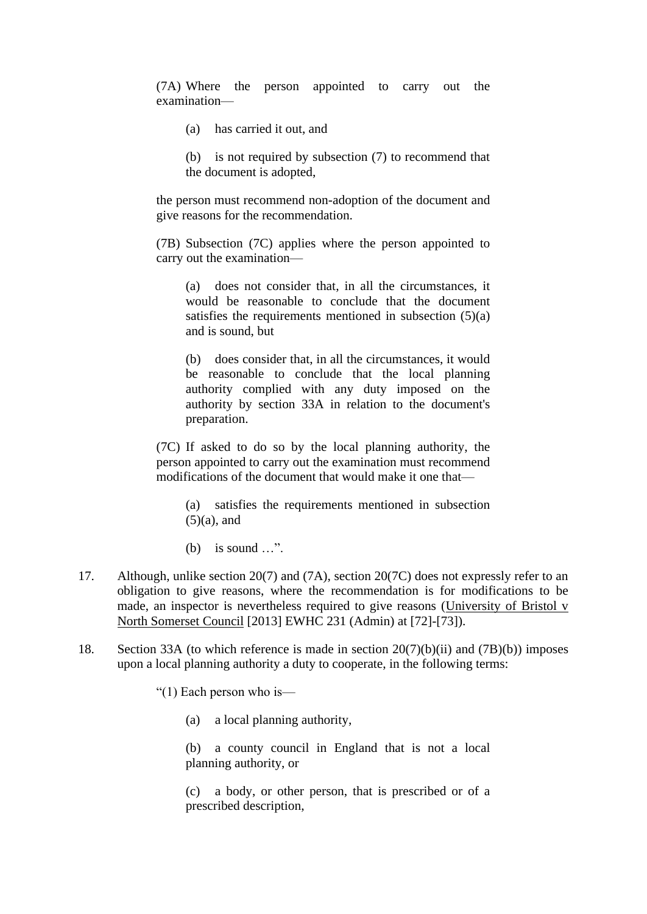(7A) Where the person appointed to carry out the examination—

- (a) has carried it out, and
- (b) is not required by subsection (7) to recommend that the document is adopted,

the person must recommend non-adoption of the document and give reasons for the recommendation.

(7B) Subsection (7C) applies where the person appointed to carry out the examination—

(a) does not consider that, in all the circumstances, it would be reasonable to conclude that the document satisfies the requirements mentioned in subsection (5)(a) and is sound, but

(b) does consider that, in all the circumstances, it would be reasonable to conclude that the local planning authority complied with any duty imposed on the authority by section 33A in relation to the document's preparation.

(7C) If asked to do so by the local planning authority, the person appointed to carry out the examination must recommend modifications of the document that would make it one that—

(a) satisfies the requirements mentioned in subsection  $(5)(a)$ , and

(b) is sound …".

- 17. Although, unlike section 20(7) and (7A), section 20(7C) does not expressly refer to an obligation to give reasons, where the recommendation is for modifications to be made, an inspector is nevertheless required to give reasons (University of Bristol v North Somerset Council [2013] EWHC 231 (Admin) at [72]-[73]).
- 18. Section 33A (to which reference is made in section 20(7)(b)(ii) and (7B)(b)) imposes upon a local planning authority a duty to cooperate, in the following terms:

"(1) Each person who is—

(a) a local planning authority,

(b) a county council in England that is not a local planning authority, or

(c) a body, or other person, that is prescribed or of a prescribed description,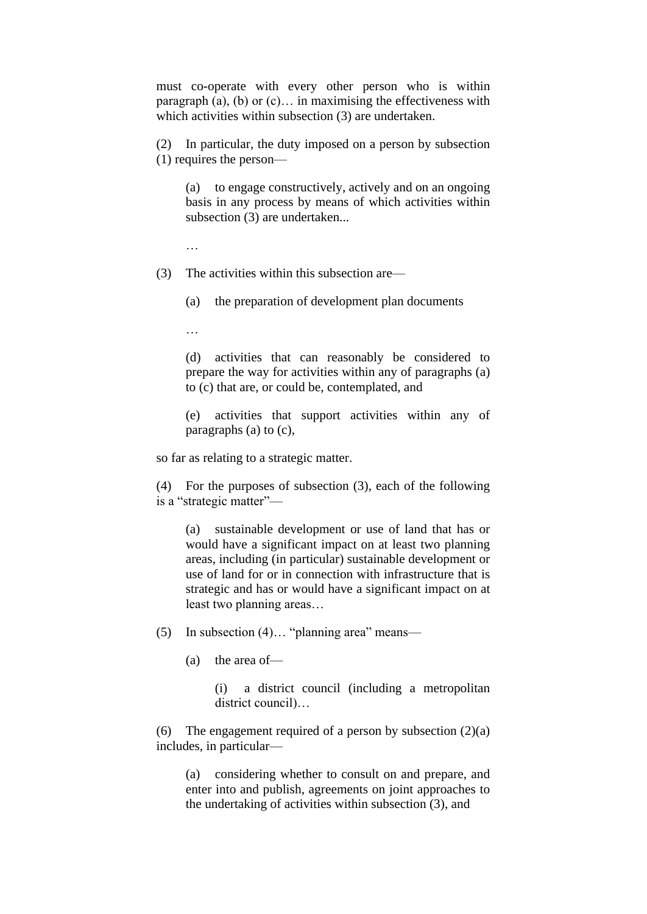must co-operate with every other person who is within paragraph (a), (b) or  $(c)$ ... in maximising the effectiveness with which activities within subsection (3) are undertaken.

(2) In particular, the duty imposed on a person by subsection (1) requires the person—

(a) to engage constructively, actively and on an ongoing basis in any process by means of which activities within subsection (3) are undertaken...

…

(3) The activities within this subsection are—

(a) the preparation of development plan documents

…

(d) activities that can reasonably be considered to prepare the way for activities within any of paragraphs (a) to (c) that are, or could be, contemplated, and

(e) activities that support activities within any of paragraphs (a) to (c),

so far as relating to a strategic matter.

(4) For the purposes of subsection (3), each of the following is a "strategic matter"—

(a) sustainable development or use of land that has or would have a significant impact on at least two planning areas, including (in particular) sustainable development or use of land for or in connection with infrastructure that is strategic and has or would have a significant impact on at least two planning areas…

- (5) In subsection (4)… "planning area" means—
	- (a) the area of—

(i) a district council (including a metropolitan district council)…

(6) The engagement required of a person by subsection  $(2)(a)$ includes, in particular—

(a) considering whether to consult on and prepare, and enter into and publish, agreements on joint approaches to the undertaking of activities within subsection (3), and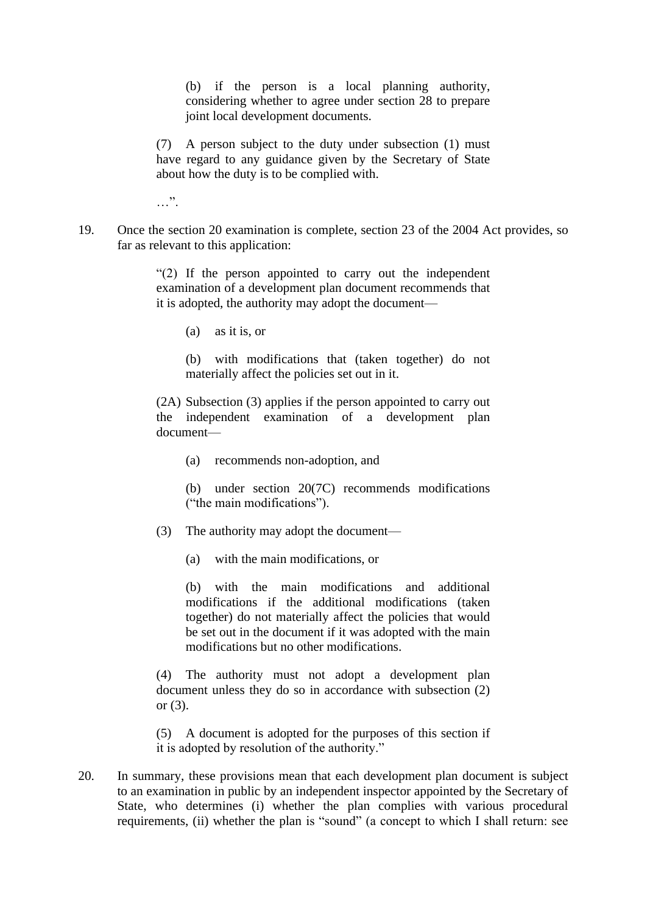(b) if the person is a local planning authority, considering whether to agree under section 28 to prepare joint local development documents.

(7) A person subject to the duty under subsection (1) must have regard to any guidance given by the Secretary of State about how the duty is to be complied with.

…".

19. Once the section 20 examination is complete, section 23 of the 2004 Act provides, so far as relevant to this application:

> "(2) If the person appointed to carry out the independent examination of a development plan document recommends that it is adopted, the authority may adopt the document—

(a) as it is, or

(b) with modifications that (taken together) do not materially affect the policies set out in it.

(2A) Subsection (3) applies if the person appointed to carry out the independent examination of a development plan document—

(a) recommends non-adoption, and

(b) under section 20(7C) recommends modifications ("the main modifications").

- (3) The authority may adopt the document—
	- (a) with the main modifications, or

(b) with the main modifications and additional modifications if the additional modifications (taken together) do not materially affect the policies that would be set out in the document if it was adopted with the main modifications but no other modifications.

(4) The authority must not adopt a development plan document unless they do so in accordance with subsection (2) or (3).

(5) A document is adopted for the purposes of this section if it is adopted by resolution of the authority."

20. In summary, these provisions mean that each development plan document is subject to an examination in public by an independent inspector appointed by the Secretary of State, who determines (i) whether the plan complies with various procedural requirements, (ii) whether the plan is "sound" (a concept to which I shall return: see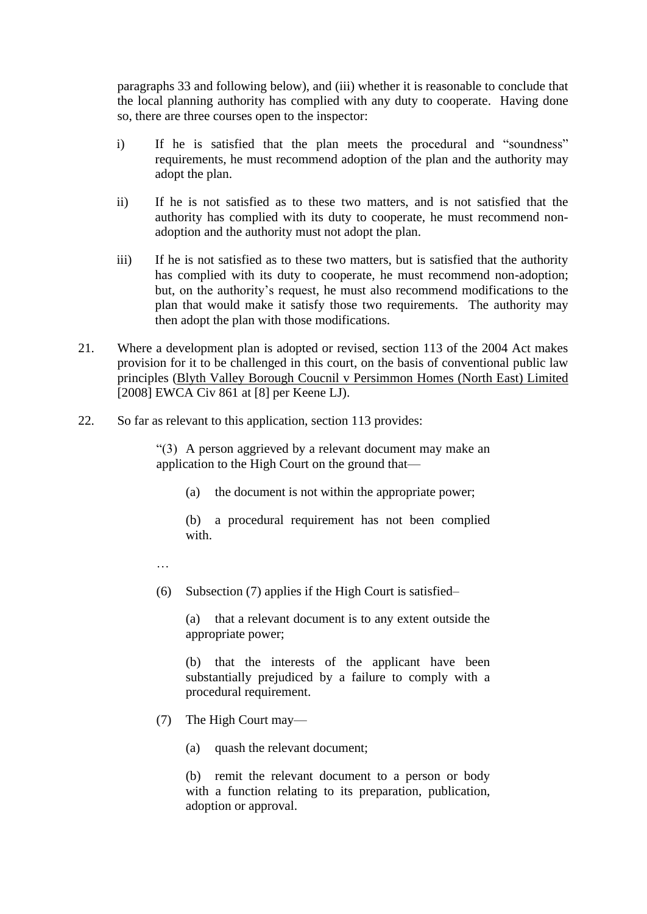paragraphs 33 and following below), and (iii) whether it is reasonable to conclude that the local planning authority has complied with any duty to cooperate. Having done so, there are three courses open to the inspector:

- i) If he is satisfied that the plan meets the procedural and "soundness" requirements, he must recommend adoption of the plan and the authority may adopt the plan.
- ii) If he is not satisfied as to these two matters, and is not satisfied that the authority has complied with its duty to cooperate, he must recommend nonadoption and the authority must not adopt the plan.
- iii) If he is not satisfied as to these two matters, but is satisfied that the authority has complied with its duty to cooperate, he must recommend non-adoption; but, on the authority's request, he must also recommend modifications to the plan that would make it satisfy those two requirements. The authority may then adopt the plan with those modifications.
- 21. Where a development plan is adopted or revised, section 113 of the 2004 Act makes provision for it to be challenged in this court, on the basis of conventional public law principles (Blyth Valley Borough Coucnil v Persimmon Homes (North East) Limited [2008] EWCA Civ 861 at [8] per Keene LJ).
- 22. So far as relevant to this application, section 113 provides:

"(3) A person aggrieved by a relevant document may make an application to the High Court on the ground that—

(a) the document is not within the appropriate power;

(b) a procedural requirement has not been complied with.

- …
- (6) Subsection (7) applies if the High Court is satisfied–

(a) that a relevant document is to any extent outside the appropriate power;

(b) that the interests of the applicant have been substantially prejudiced by a failure to comply with a procedural requirement.

- (7) The High Court may—
	- (a) quash the relevant document;

(b) remit the relevant document to a person or body with a function relating to its preparation, publication, adoption or approval.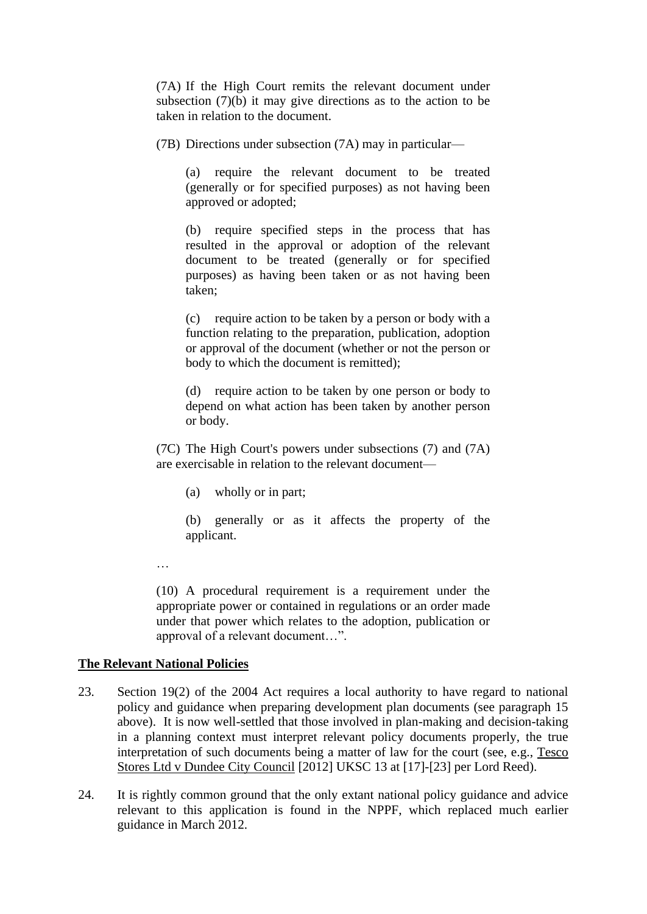(7A) If the High Court remits the relevant document under subsection (7)(b) it may give directions as to the action to be taken in relation to the document.

(7B) Directions under subsection (7A) may in particular—

(a) require the relevant document to be treated (generally or for specified purposes) as not having been approved or adopted;

(b) require specified steps in the process that has resulted in the approval or adoption of the relevant document to be treated (generally or for specified purposes) as having been taken or as not having been taken;

(c) require action to be taken by a person or body with a function relating to the preparation, publication, adoption or approval of the document (whether or not the person or body to which the document is remitted);

(d) require action to be taken by one person or body to depend on what action has been taken by another person or body.

(7C) The High Court's powers under subsections (7) and (7A) are exercisable in relation to the relevant document—

(a) wholly or in part;

(b) generally or as it affects the property of the applicant.

…

(10) A procedural requirement is a requirement under the appropriate power or contained in regulations or an order made under that power which relates to the adoption, publication or approval of a relevant document…".

#### **The Relevant National Policies**

- 23. Section 19(2) of the 2004 Act requires a local authority to have regard to national policy and guidance when preparing development plan documents (see paragraph 15 above). It is now well-settled that those involved in plan-making and decision-taking in a planning context must interpret relevant policy documents properly, the true interpretation of such documents being a matter of law for the court (see, e.g., Tesco Stores Ltd v Dundee City Council [2012] UKSC 13 at [17]-[23] per Lord Reed).
- 24. It is rightly common ground that the only extant national policy guidance and advice relevant to this application is found in the NPPF, which replaced much earlier guidance in March 2012.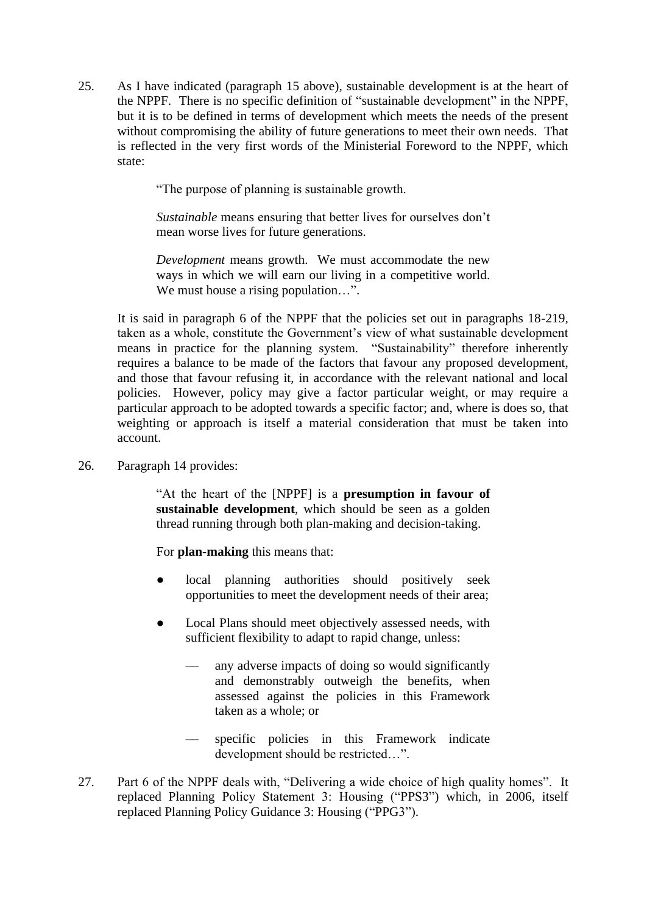25. As I have indicated (paragraph 15 above), sustainable development is at the heart of the NPPF. There is no specific definition of "sustainable development" in the NPPF, but it is to be defined in terms of development which meets the needs of the present without compromising the ability of future generations to meet their own needs. That is reflected in the very first words of the Ministerial Foreword to the NPPF, which state:

"The purpose of planning is sustainable growth.

*Sustainable* means ensuring that better lives for ourselves don't mean worse lives for future generations.

*Development* means growth. We must accommodate the new ways in which we will earn our living in a competitive world. We must house a rising population...".

It is said in paragraph 6 of the NPPF that the policies set out in paragraphs 18-219, taken as a whole, constitute the Government's view of what sustainable development means in practice for the planning system. "Sustainability" therefore inherently requires a balance to be made of the factors that favour any proposed development, and those that favour refusing it, in accordance with the relevant national and local policies. However, policy may give a factor particular weight, or may require a particular approach to be adopted towards a specific factor; and, where is does so, that weighting or approach is itself a material consideration that must be taken into account.

26. Paragraph 14 provides:

"At the heart of the [NPPF] is a **presumption in favour of sustainable development**, which should be seen as a golden thread running through both plan-making and decision-taking.

For **plan-making** this means that:

- local planning authorities should positively seek opportunities to meet the development needs of their area;
- Local Plans should meet objectively assessed needs, with sufficient flexibility to adapt to rapid change, unless:
	- any adverse impacts of doing so would significantly and demonstrably outweigh the benefits, when assessed against the policies in this Framework taken as a whole; or
	- specific policies in this Framework indicate development should be restricted…".
- 27. Part 6 of the NPPF deals with, "Delivering a wide choice of high quality homes". It replaced Planning Policy Statement 3: Housing ("PPS3") which, in 2006, itself replaced Planning Policy Guidance 3: Housing ("PPG3").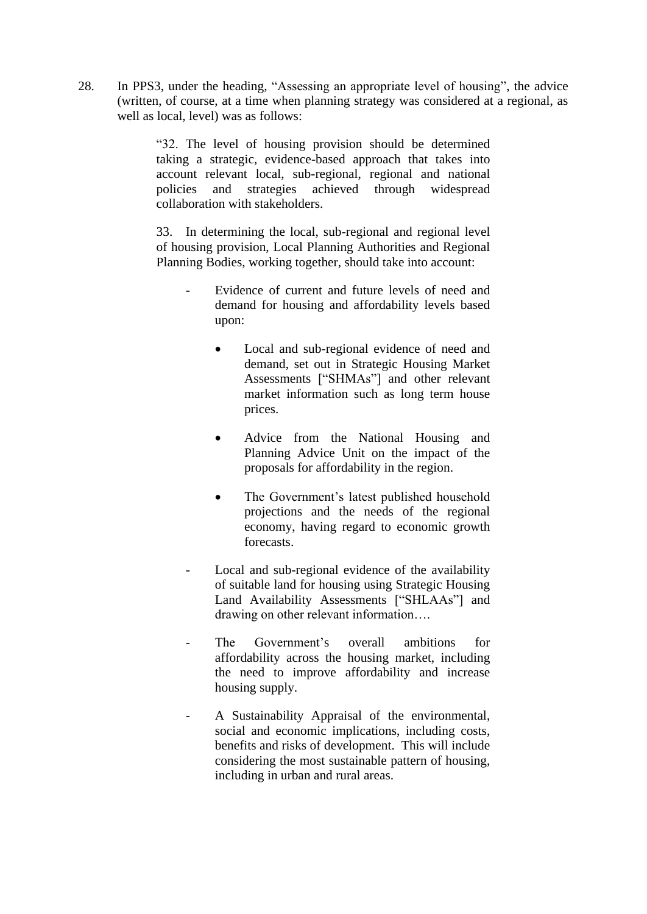28. In PPS3, under the heading, "Assessing an appropriate level of housing", the advice (written, of course, at a time when planning strategy was considered at a regional, as well as local, level) was as follows:

> "32. The level of housing provision should be determined taking a strategic, evidence-based approach that takes into account relevant local, sub-regional, regional and national policies and strategies achieved through widespread collaboration with stakeholders.

> 33. In determining the local, sub-regional and regional level of housing provision, Local Planning Authorities and Regional Planning Bodies, working together, should take into account:

- Evidence of current and future levels of need and demand for housing and affordability levels based upon:
	- Local and sub-regional evidence of need and demand, set out in Strategic Housing Market Assessments ["SHMAs"] and other relevant market information such as long term house prices.
	- Advice from the National Housing and Planning Advice Unit on the impact of the proposals for affordability in the region.
	- The Government's latest published household projections and the needs of the regional economy, having regard to economic growth forecasts.
- Local and sub-regional evidence of the availability of suitable land for housing using Strategic Housing Land Availability Assessments ["SHLAAs"] and drawing on other relevant information….
- The Government's overall ambitions for affordability across the housing market, including the need to improve affordability and increase housing supply.
- A Sustainability Appraisal of the environmental, social and economic implications, including costs, benefits and risks of development. This will include considering the most sustainable pattern of housing, including in urban and rural areas.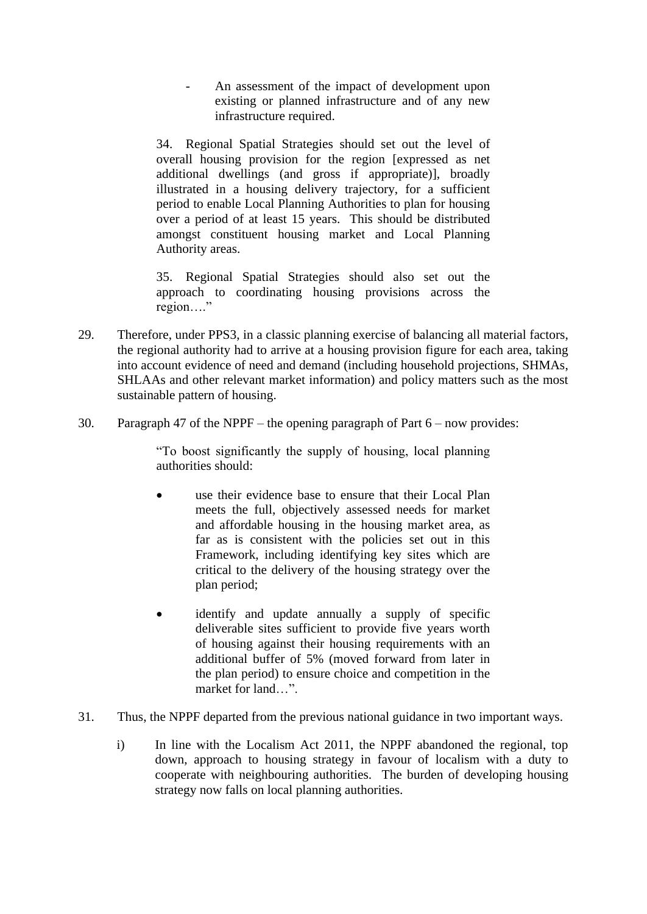An assessment of the impact of development upon existing or planned infrastructure and of any new infrastructure required.

34. Regional Spatial Strategies should set out the level of overall housing provision for the region [expressed as net additional dwellings (and gross if appropriate)], broadly illustrated in a housing delivery trajectory, for a sufficient period to enable Local Planning Authorities to plan for housing over a period of at least 15 years. This should be distributed amongst constituent housing market and Local Planning Authority areas.

35. Regional Spatial Strategies should also set out the approach to coordinating housing provisions across the region…."

- 29. Therefore, under PPS3, in a classic planning exercise of balancing all material factors, the regional authority had to arrive at a housing provision figure for each area, taking into account evidence of need and demand (including household projections, SHMAs, SHLAAs and other relevant market information) and policy matters such as the most sustainable pattern of housing.
- 30. Paragraph 47 of the NPPF the opening paragraph of Part 6 now provides:

"To boost significantly the supply of housing, local planning authorities should:

- use their evidence base to ensure that their Local Plan meets the full, objectively assessed needs for market and affordable housing in the housing market area, as far as is consistent with the policies set out in this Framework, including identifying key sites which are critical to the delivery of the housing strategy over the plan period;
- identify and update annually a supply of specific deliverable sites sufficient to provide five years worth of housing against their housing requirements with an additional buffer of 5% (moved forward from later in the plan period) to ensure choice and competition in the market for land…".
- 31. Thus, the NPPF departed from the previous national guidance in two important ways.
	- i) In line with the Localism Act 2011, the NPPF abandoned the regional, top down, approach to housing strategy in favour of localism with a duty to cooperate with neighbouring authorities. The burden of developing housing strategy now falls on local planning authorities.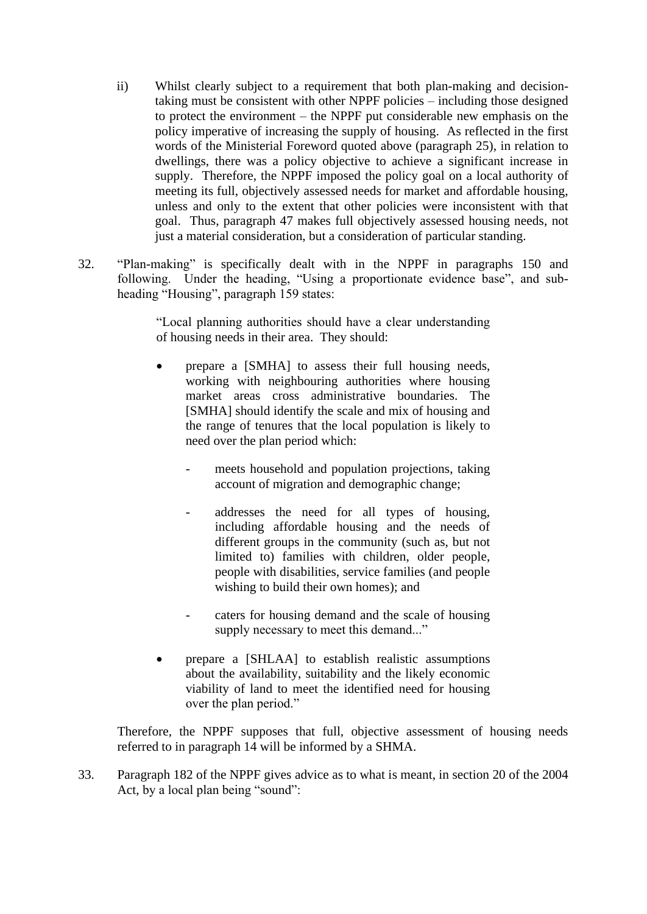- ii) Whilst clearly subject to a requirement that both plan-making and decisiontaking must be consistent with other NPPF policies – including those designed to protect the environment – the NPPF put considerable new emphasis on the policy imperative of increasing the supply of housing. As reflected in the first words of the Ministerial Foreword quoted above (paragraph 25), in relation to dwellings, there was a policy objective to achieve a significant increase in supply. Therefore, the NPPF imposed the policy goal on a local authority of meeting its full, objectively assessed needs for market and affordable housing, unless and only to the extent that other policies were inconsistent with that goal. Thus, paragraph 47 makes full objectively assessed housing needs, not just a material consideration, but a consideration of particular standing.
- 32. "Plan-making" is specifically dealt with in the NPPF in paragraphs 150 and following. Under the heading, "Using a proportionate evidence base", and subheading "Housing", paragraph 159 states:

"Local planning authorities should have a clear understanding of housing needs in their area. They should:

- prepare a [SMHA] to assess their full housing needs, working with neighbouring authorities where housing market areas cross administrative boundaries. The [SMHA] should identify the scale and mix of housing and the range of tenures that the local population is likely to need over the plan period which:
	- meets household and population projections, taking account of migration and demographic change;
	- addresses the need for all types of housing, including affordable housing and the needs of different groups in the community (such as, but not limited to) families with children, older people, people with disabilities, service families (and people wishing to build their own homes); and
	- caters for housing demand and the scale of housing supply necessary to meet this demand..."
- prepare a [SHLAA] to establish realistic assumptions about the availability, suitability and the likely economic viability of land to meet the identified need for housing over the plan period."

Therefore, the NPPF supposes that full, objective assessment of housing needs referred to in paragraph 14 will be informed by a SHMA.

33. Paragraph 182 of the NPPF gives advice as to what is meant, in section 20 of the 2004 Act, by a local plan being "sound":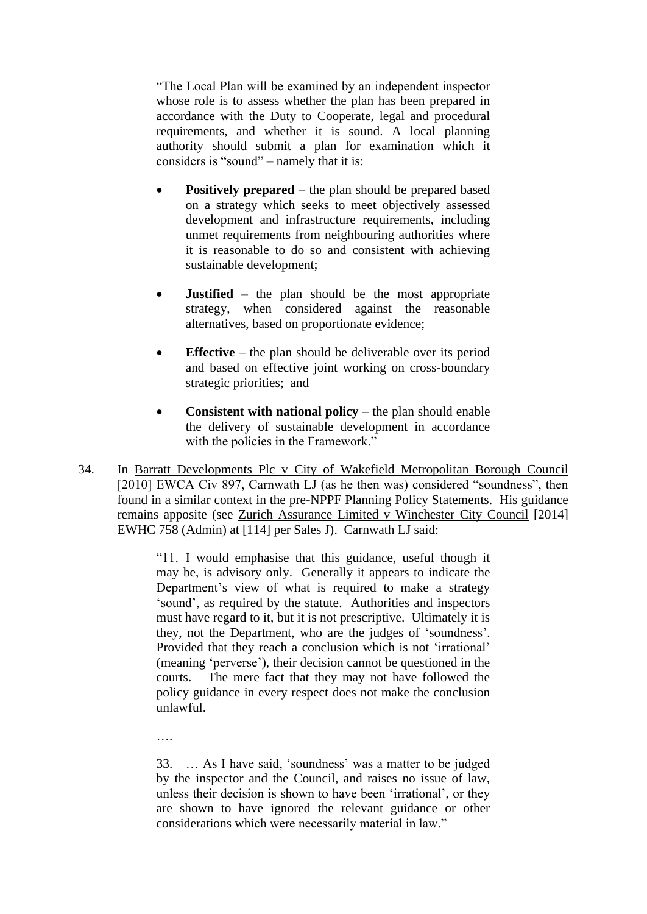"The Local Plan will be examined by an independent inspector whose role is to assess whether the plan has been prepared in accordance with the Duty to Cooperate, legal and procedural requirements, and whether it is sound. A local planning authority should submit a plan for examination which it considers is "sound" – namely that it is:

- **Positively prepared** the plan should be prepared based on a strategy which seeks to meet objectively assessed development and infrastructure requirements, including unmet requirements from neighbouring authorities where it is reasonable to do so and consistent with achieving sustainable development;
- **Justified** the plan should be the most appropriate strategy, when considered against the reasonable alternatives, based on proportionate evidence;
- **Effective** the plan should be deliverable over its period and based on effective joint working on cross-boundary strategic priorities; and
- **Consistent with national policy** the plan should enable the delivery of sustainable development in accordance with the policies in the Framework."
- 34. In Barratt Developments Plc v City of Wakefield Metropolitan Borough Council [2010] EWCA Civ 897, Carnwath LJ (as he then was) considered "soundness", then found in a similar context in the pre-NPPF Planning Policy Statements. His guidance remains apposite (see Zurich Assurance Limited v Winchester City Council [2014] EWHC 758 (Admin) at [114] per Sales J). Carnwath LJ said:

"11. I would emphasise that this guidance, useful though it may be, is advisory only. Generally it appears to indicate the Department's view of what is required to make a strategy 'sound', as required by the statute. Authorities and inspectors must have regard to it, but it is not prescriptive. Ultimately it is they, not the Department, who are the judges of 'soundness'. Provided that they reach a conclusion which is not 'irrational' (meaning 'perverse'), their decision cannot be questioned in the courts. The mere fact that they may not have followed the policy guidance in every respect does not make the conclusion unlawful.

….

33. … As I have said, 'soundness' was a matter to be judged by the inspector and the Council, and raises no issue of law, unless their decision is shown to have been 'irrational', or they are shown to have ignored the relevant guidance or other considerations which were necessarily material in law."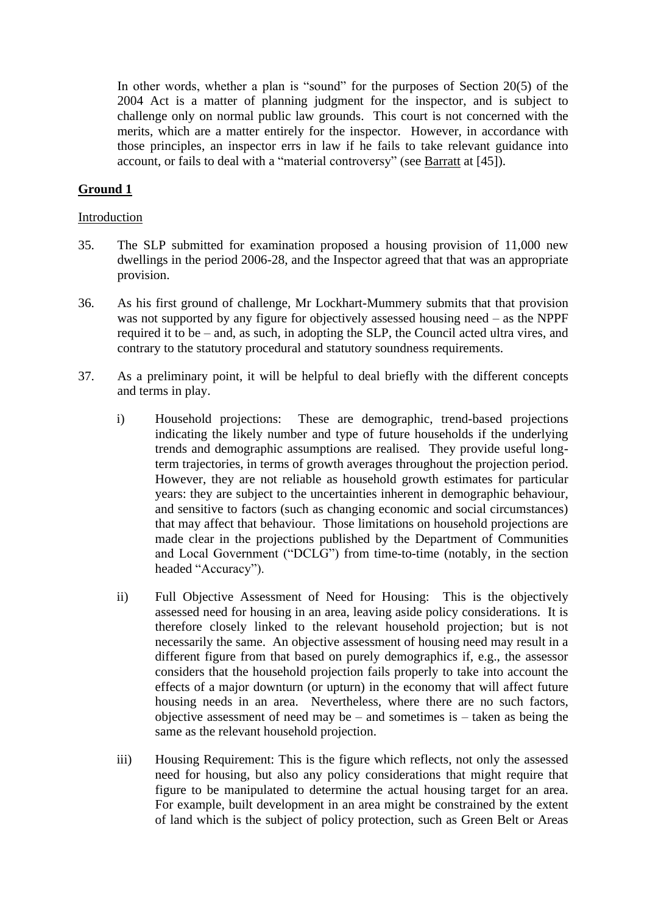In other words, whether a plan is "sound" for the purposes of Section 20(5) of the 2004 Act is a matter of planning judgment for the inspector, and is subject to challenge only on normal public law grounds. This court is not concerned with the merits, which are a matter entirely for the inspector. However, in accordance with those principles, an inspector errs in law if he fails to take relevant guidance into account, or fails to deal with a "material controversy" (see Barratt at [45]).

# **Ground 1**

#### Introduction

- 35. The SLP submitted for examination proposed a housing provision of 11,000 new dwellings in the period 2006-28, and the Inspector agreed that that was an appropriate provision.
- 36. As his first ground of challenge, Mr Lockhart-Mummery submits that that provision was not supported by any figure for objectively assessed housing need – as the NPPF required it to be – and, as such, in adopting the SLP, the Council acted ultra vires, and contrary to the statutory procedural and statutory soundness requirements.
- 37. As a preliminary point, it will be helpful to deal briefly with the different concepts and terms in play.
	- i) Household projections: These are demographic, trend-based projections indicating the likely number and type of future households if the underlying trends and demographic assumptions are realised. They provide useful longterm trajectories, in terms of growth averages throughout the projection period. However, they are not reliable as household growth estimates for particular years: they are subject to the uncertainties inherent in demographic behaviour, and sensitive to factors (such as changing economic and social circumstances) that may affect that behaviour. Those limitations on household projections are made clear in the projections published by the Department of Communities and Local Government ("DCLG") from time-to-time (notably, in the section headed "Accuracy").
	- ii) Full Objective Assessment of Need for Housing: This is the objectively assessed need for housing in an area, leaving aside policy considerations. It is therefore closely linked to the relevant household projection; but is not necessarily the same. An objective assessment of housing need may result in a different figure from that based on purely demographics if, e.g., the assessor considers that the household projection fails properly to take into account the effects of a major downturn (or upturn) in the economy that will affect future housing needs in an area. Nevertheless, where there are no such factors, objective assessment of need may be – and sometimes is – taken as being the same as the relevant household projection.
	- iii) Housing Requirement: This is the figure which reflects, not only the assessed need for housing, but also any policy considerations that might require that figure to be manipulated to determine the actual housing target for an area. For example, built development in an area might be constrained by the extent of land which is the subject of policy protection, such as Green Belt or Areas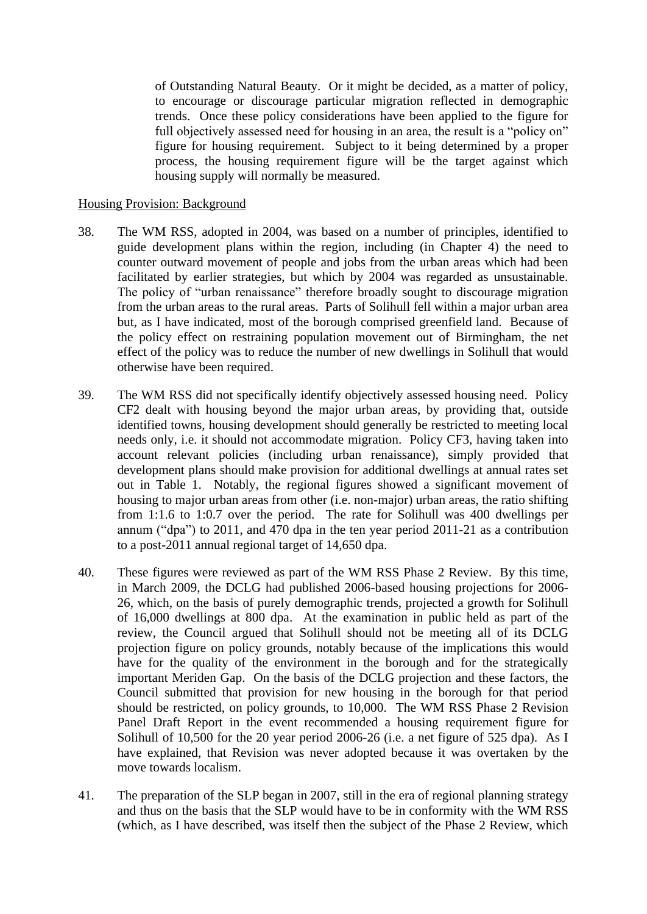of Outstanding Natural Beauty. Or it might be decided, as a matter of policy, to encourage or discourage particular migration reflected in demographic trends. Once these policy considerations have been applied to the figure for full objectively assessed need for housing in an area, the result is a "policy on" figure for housing requirement. Subject to it being determined by a proper process, the housing requirement figure will be the target against which housing supply will normally be measured.

#### Housing Provision: Background

- 38. The WM RSS, adopted in 2004, was based on a number of principles, identified to guide development plans within the region, including (in Chapter 4) the need to counter outward movement of people and jobs from the urban areas which had been facilitated by earlier strategies, but which by 2004 was regarded as unsustainable. The policy of "urban renaissance" therefore broadly sought to discourage migration from the urban areas to the rural areas. Parts of Solihull fell within a major urban area but, as I have indicated, most of the borough comprised greenfield land. Because of the policy effect on restraining population movement out of Birmingham, the net effect of the policy was to reduce the number of new dwellings in Solihull that would otherwise have been required.
- 39. The WM RSS did not specifically identify objectively assessed housing need. Policy CF2 dealt with housing beyond the major urban areas, by providing that, outside identified towns, housing development should generally be restricted to meeting local needs only, i.e. it should not accommodate migration. Policy CF3, having taken into account relevant policies (including urban renaissance), simply provided that development plans should make provision for additional dwellings at annual rates set out in Table 1. Notably, the regional figures showed a significant movement of housing to major urban areas from other (i.e. non-major) urban areas, the ratio shifting from 1:1.6 to 1:0.7 over the period. The rate for Solihull was 400 dwellings per annum ("dpa") to 2011, and 470 dpa in the ten year period 2011-21 as a contribution to a post-2011 annual regional target of 14,650 dpa.
- 40. These figures were reviewed as part of the WM RSS Phase 2 Review. By this time, in March 2009, the DCLG had published 2006-based housing projections for 2006- 26, which, on the basis of purely demographic trends, projected a growth for Solihull of 16,000 dwellings at 800 dpa. At the examination in public held as part of the review, the Council argued that Solihull should not be meeting all of its DCLG projection figure on policy grounds, notably because of the implications this would have for the quality of the environment in the borough and for the strategically important Meriden Gap. On the basis of the DCLG projection and these factors, the Council submitted that provision for new housing in the borough for that period should be restricted, on policy grounds, to 10,000. The WM RSS Phase 2 Revision Panel Draft Report in the event recommended a housing requirement figure for Solihull of 10,500 for the 20 year period 2006-26 (i.e. a net figure of 525 dpa). As I have explained, that Revision was never adopted because it was overtaken by the move towards localism.
- 41. The preparation of the SLP began in 2007, still in the era of regional planning strategy and thus on the basis that the SLP would have to be in conformity with the WM RSS (which, as I have described, was itself then the subject of the Phase 2 Review, which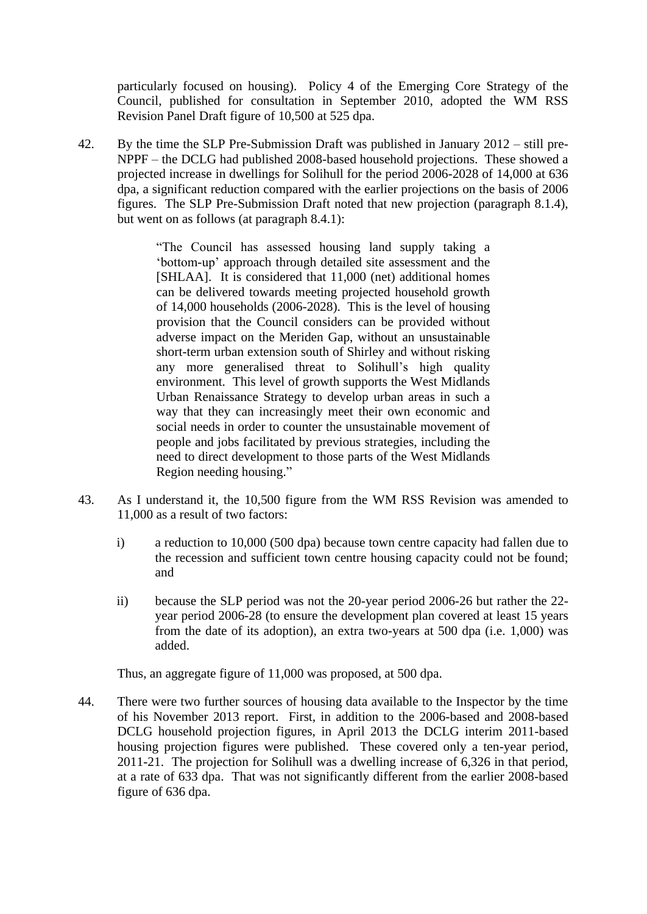particularly focused on housing). Policy 4 of the Emerging Core Strategy of the Council, published for consultation in September 2010, adopted the WM RSS Revision Panel Draft figure of 10,500 at 525 dpa.

42. By the time the SLP Pre-Submission Draft was published in January 2012 – still pre-NPPF – the DCLG had published 2008-based household projections. These showed a projected increase in dwellings for Solihull for the period 2006-2028 of 14,000 at 636 dpa, a significant reduction compared with the earlier projections on the basis of 2006 figures. The SLP Pre-Submission Draft noted that new projection (paragraph 8.1.4), but went on as follows (at paragraph 8.4.1):

> "The Council has assessed housing land supply taking a 'bottom-up' approach through detailed site assessment and the [SHLAA]. It is considered that 11,000 (net) additional homes can be delivered towards meeting projected household growth of 14,000 households (2006-2028). This is the level of housing provision that the Council considers can be provided without adverse impact on the Meriden Gap, without an unsustainable short-term urban extension south of Shirley and without risking any more generalised threat to Solihull's high quality environment. This level of growth supports the West Midlands Urban Renaissance Strategy to develop urban areas in such a way that they can increasingly meet their own economic and social needs in order to counter the unsustainable movement of people and jobs facilitated by previous strategies, including the need to direct development to those parts of the West Midlands Region needing housing."

- 43. As I understand it, the 10,500 figure from the WM RSS Revision was amended to 11,000 as a result of two factors:
	- i) a reduction to 10,000 (500 dpa) because town centre capacity had fallen due to the recession and sufficient town centre housing capacity could not be found; and
	- ii) because the SLP period was not the 20-year period 2006-26 but rather the 22 year period 2006-28 (to ensure the development plan covered at least 15 years from the date of its adoption), an extra two-years at 500 dpa (i.e. 1,000) was added.

Thus, an aggregate figure of 11,000 was proposed, at 500 dpa.

44. There were two further sources of housing data available to the Inspector by the time of his November 2013 report. First, in addition to the 2006-based and 2008-based DCLG household projection figures, in April 2013 the DCLG interim 2011-based housing projection figures were published. These covered only a ten-year period, 2011-21. The projection for Solihull was a dwelling increase of 6,326 in that period, at a rate of 633 dpa. That was not significantly different from the earlier 2008-based figure of 636 dpa.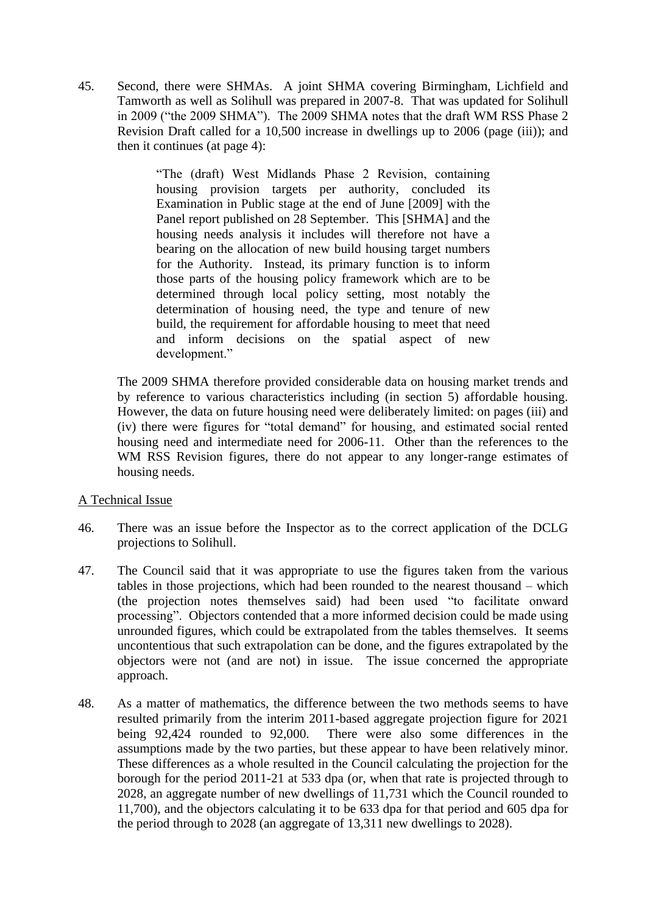45. Second, there were SHMAs. A joint SHMA covering Birmingham, Lichfield and Tamworth as well as Solihull was prepared in 2007-8. That was updated for Solihull in 2009 ("the 2009 SHMA"). The 2009 SHMA notes that the draft WM RSS Phase 2 Revision Draft called for a 10,500 increase in dwellings up to 2006 (page (iii)); and then it continues (at page 4):

> "The (draft) West Midlands Phase 2 Revision, containing housing provision targets per authority, concluded its Examination in Public stage at the end of June [2009] with the Panel report published on 28 September. This [SHMA] and the housing needs analysis it includes will therefore not have a bearing on the allocation of new build housing target numbers for the Authority. Instead, its primary function is to inform those parts of the housing policy framework which are to be determined through local policy setting, most notably the determination of housing need, the type and tenure of new build, the requirement for affordable housing to meet that need and inform decisions on the spatial aspect of new development."

The 2009 SHMA therefore provided considerable data on housing market trends and by reference to various characteristics including (in section 5) affordable housing. However, the data on future housing need were deliberately limited: on pages (iii) and (iv) there were figures for "total demand" for housing, and estimated social rented housing need and intermediate need for 2006-11. Other than the references to the WM RSS Revision figures, there do not appear to any longer-range estimates of housing needs.

# A Technical Issue

- 46. There was an issue before the Inspector as to the correct application of the DCLG projections to Solihull.
- 47. The Council said that it was appropriate to use the figures taken from the various tables in those projections, which had been rounded to the nearest thousand – which (the projection notes themselves said) had been used "to facilitate onward processing". Objectors contended that a more informed decision could be made using unrounded figures, which could be extrapolated from the tables themselves. It seems uncontentious that such extrapolation can be done, and the figures extrapolated by the objectors were not (and are not) in issue. The issue concerned the appropriate approach.
- 48. As a matter of mathematics, the difference between the two methods seems to have resulted primarily from the interim 2011-based aggregate projection figure for 2021 being 92,424 rounded to 92,000. There were also some differences in the assumptions made by the two parties, but these appear to have been relatively minor. These differences as a whole resulted in the Council calculating the projection for the borough for the period 2011-21 at 533 dpa (or, when that rate is projected through to 2028, an aggregate number of new dwellings of 11,731 which the Council rounded to 11,700), and the objectors calculating it to be 633 dpa for that period and 605 dpa for the period through to 2028 (an aggregate of 13,311 new dwellings to 2028).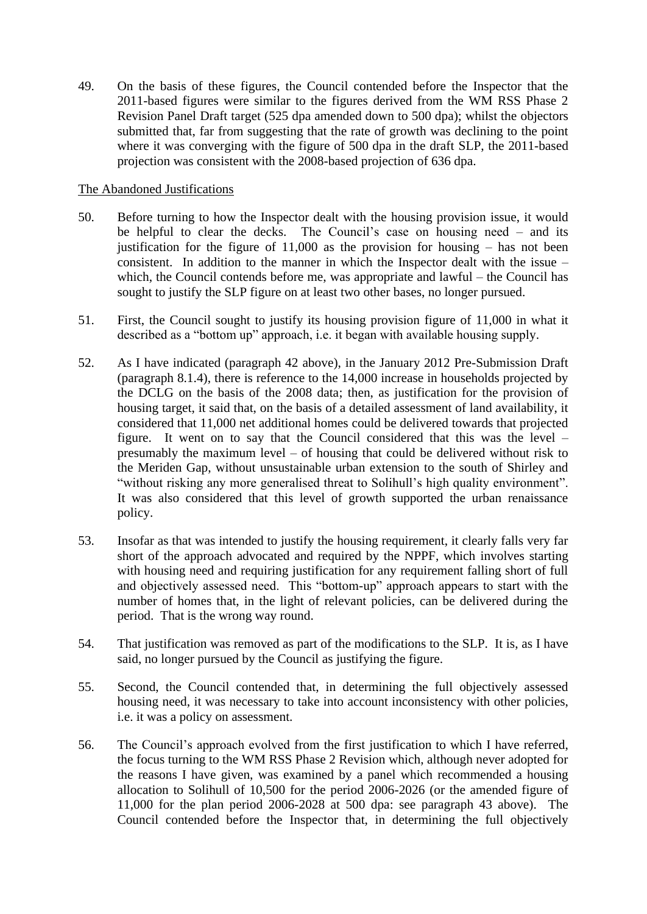49. On the basis of these figures, the Council contended before the Inspector that the 2011-based figures were similar to the figures derived from the WM RSS Phase 2 Revision Panel Draft target (525 dpa amended down to 500 dpa); whilst the objectors submitted that, far from suggesting that the rate of growth was declining to the point where it was converging with the figure of 500 dpa in the draft SLP, the 2011-based projection was consistent with the 2008-based projection of 636 dpa.

# The Abandoned Justifications

- 50. Before turning to how the Inspector dealt with the housing provision issue, it would be helpful to clear the decks. The Council's case on housing need – and its justification for the figure of  $11,000$  as the provision for housing – has not been consistent. In addition to the manner in which the Inspector dealt with the issue – which, the Council contends before me, was appropriate and lawful – the Council has sought to justify the SLP figure on at least two other bases, no longer pursued.
- 51. First, the Council sought to justify its housing provision figure of 11,000 in what it described as a "bottom up" approach, i.e. it began with available housing supply.
- 52. As I have indicated (paragraph 42 above), in the January 2012 Pre-Submission Draft (paragraph 8.1.4), there is reference to the 14,000 increase in households projected by the DCLG on the basis of the 2008 data; then, as justification for the provision of housing target, it said that, on the basis of a detailed assessment of land availability, it considered that 11,000 net additional homes could be delivered towards that projected figure. It went on to say that the Council considered that this was the level – presumably the maximum level – of housing that could be delivered without risk to the Meriden Gap, without unsustainable urban extension to the south of Shirley and "without risking any more generalised threat to Solihull's high quality environment". It was also considered that this level of growth supported the urban renaissance policy.
- 53. Insofar as that was intended to justify the housing requirement, it clearly falls very far short of the approach advocated and required by the NPPF, which involves starting with housing need and requiring justification for any requirement falling short of full and objectively assessed need. This "bottom-up" approach appears to start with the number of homes that, in the light of relevant policies, can be delivered during the period. That is the wrong way round.
- 54. That justification was removed as part of the modifications to the SLP. It is, as I have said, no longer pursued by the Council as justifying the figure.
- 55. Second, the Council contended that, in determining the full objectively assessed housing need, it was necessary to take into account inconsistency with other policies, i.e. it was a policy on assessment.
- 56. The Council's approach evolved from the first justification to which I have referred, the focus turning to the WM RSS Phase 2 Revision which, although never adopted for the reasons I have given, was examined by a panel which recommended a housing allocation to Solihull of 10,500 for the period 2006-2026 (or the amended figure of 11,000 for the plan period 2006-2028 at 500 dpa: see paragraph 43 above). The Council contended before the Inspector that, in determining the full objectively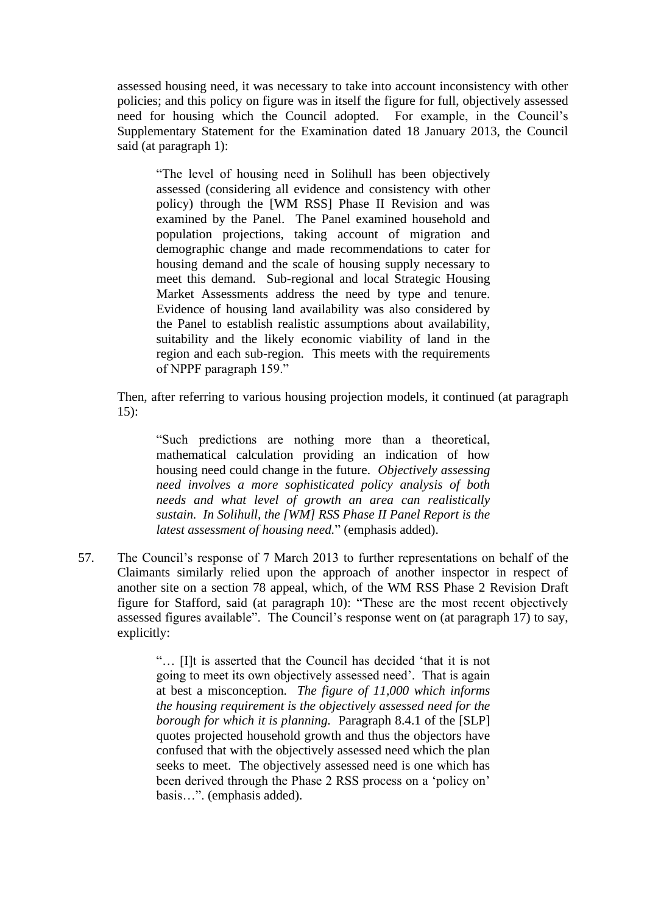assessed housing need, it was necessary to take into account inconsistency with other policies; and this policy on figure was in itself the figure for full, objectively assessed need for housing which the Council adopted. For example, in the Council's Supplementary Statement for the Examination dated 18 January 2013, the Council said (at paragraph 1):

"The level of housing need in Solihull has been objectively assessed (considering all evidence and consistency with other policy) through the [WM RSS] Phase II Revision and was examined by the Panel. The Panel examined household and population projections, taking account of migration and demographic change and made recommendations to cater for housing demand and the scale of housing supply necessary to meet this demand. Sub-regional and local Strategic Housing Market Assessments address the need by type and tenure. Evidence of housing land availability was also considered by the Panel to establish realistic assumptions about availability, suitability and the likely economic viability of land in the region and each sub-region. This meets with the requirements of NPPF paragraph 159."

Then, after referring to various housing projection models, it continued (at paragraph 15):

"Such predictions are nothing more than a theoretical, mathematical calculation providing an indication of how housing need could change in the future. *Objectively assessing need involves a more sophisticated policy analysis of both needs and what level of growth an area can realistically sustain. In Solihull, the [WM] RSS Phase II Panel Report is the latest assessment of housing need.*" (emphasis added).

57. The Council's response of 7 March 2013 to further representations on behalf of the Claimants similarly relied upon the approach of another inspector in respect of another site on a section 78 appeal, which, of the WM RSS Phase 2 Revision Draft figure for Stafford, said (at paragraph 10): "These are the most recent objectively assessed figures available". The Council's response went on (at paragraph 17) to say, explicitly:

> "… [I]t is asserted that the Council has decided 'that it is not going to meet its own objectively assessed need'. That is again at best a misconception. *The figure of 11,000 which informs the housing requirement is the objectively assessed need for the borough for which it is planning.* Paragraph 8.4.1 of the [SLP] quotes projected household growth and thus the objectors have confused that with the objectively assessed need which the plan seeks to meet. The objectively assessed need is one which has been derived through the Phase 2 RSS process on a 'policy on' basis…". (emphasis added).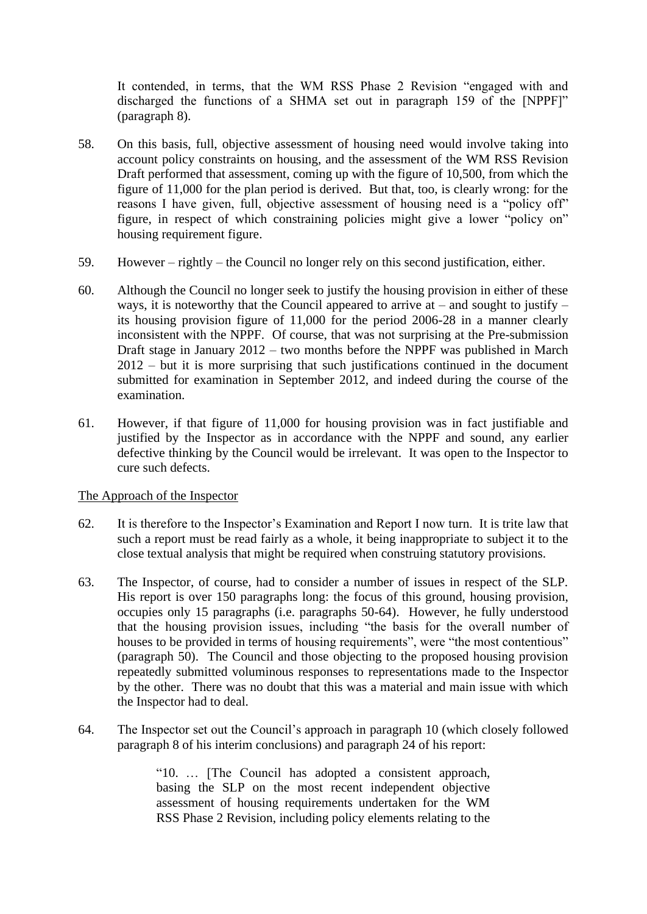It contended, in terms, that the WM RSS Phase 2 Revision "engaged with and discharged the functions of a SHMA set out in paragraph 159 of the [NPPF]" (paragraph 8).

- 58. On this basis, full, objective assessment of housing need would involve taking into account policy constraints on housing, and the assessment of the WM RSS Revision Draft performed that assessment, coming up with the figure of 10,500, from which the figure of 11,000 for the plan period is derived. But that, too, is clearly wrong: for the reasons I have given, full, objective assessment of housing need is a "policy off" figure, in respect of which constraining policies might give a lower "policy on" housing requirement figure.
- 59. However rightly the Council no longer rely on this second justification, either.
- 60. Although the Council no longer seek to justify the housing provision in either of these ways, it is noteworthy that the Council appeared to arrive at – and sought to justify – its housing provision figure of 11,000 for the period 2006-28 in a manner clearly inconsistent with the NPPF. Of course, that was not surprising at the Pre-submission Draft stage in January 2012 – two months before the NPPF was published in March 2012 – but it is more surprising that such justifications continued in the document submitted for examination in September 2012, and indeed during the course of the examination.
- 61. However, if that figure of 11,000 for housing provision was in fact justifiable and justified by the Inspector as in accordance with the NPPF and sound, any earlier defective thinking by the Council would be irrelevant. It was open to the Inspector to cure such defects.

#### The Approach of the Inspector

- 62. It is therefore to the Inspector's Examination and Report I now turn. It is trite law that such a report must be read fairly as a whole, it being inappropriate to subject it to the close textual analysis that might be required when construing statutory provisions.
- 63. The Inspector, of course, had to consider a number of issues in respect of the SLP. His report is over 150 paragraphs long: the focus of this ground, housing provision, occupies only 15 paragraphs (i.e. paragraphs 50-64). However, he fully understood that the housing provision issues, including "the basis for the overall number of houses to be provided in terms of housing requirements", were "the most contentious" (paragraph 50). The Council and those objecting to the proposed housing provision repeatedly submitted voluminous responses to representations made to the Inspector by the other. There was no doubt that this was a material and main issue with which the Inspector had to deal.
- 64. The Inspector set out the Council's approach in paragraph 10 (which closely followed paragraph 8 of his interim conclusions) and paragraph 24 of his report:

"10. … [The Council has adopted a consistent approach, basing the SLP on the most recent independent objective assessment of housing requirements undertaken for the WM RSS Phase 2 Revision, including policy elements relating to the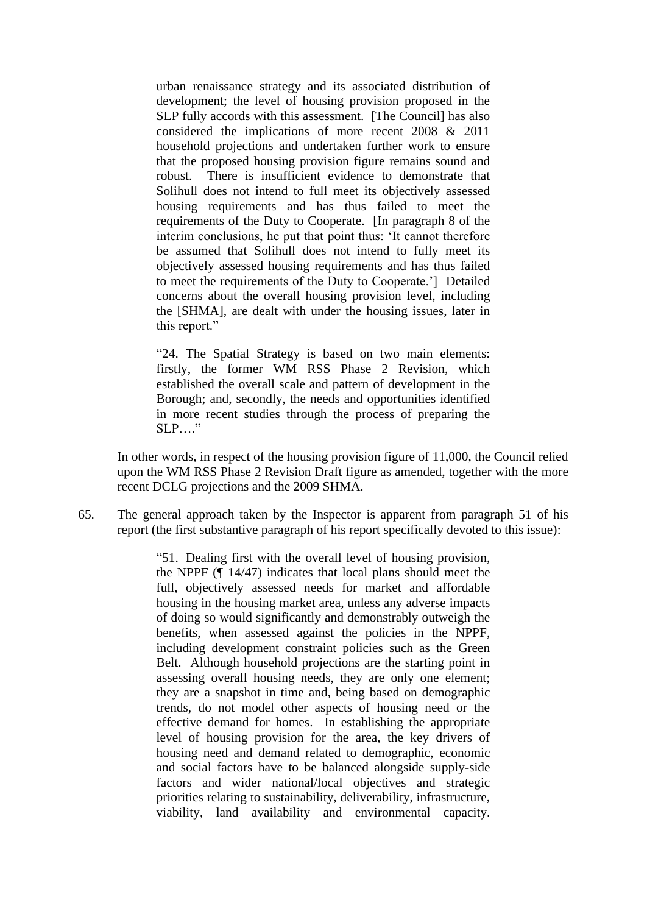urban renaissance strategy and its associated distribution of development; the level of housing provision proposed in the SLP fully accords with this assessment. [The Council] has also considered the implications of more recent 2008 & 2011 household projections and undertaken further work to ensure that the proposed housing provision figure remains sound and robust. There is insufficient evidence to demonstrate that Solihull does not intend to full meet its objectively assessed housing requirements and has thus failed to meet the requirements of the Duty to Cooperate. [In paragraph 8 of the interim conclusions, he put that point thus: 'It cannot therefore be assumed that Solihull does not intend to fully meet its objectively assessed housing requirements and has thus failed to meet the requirements of the Duty to Cooperate.'] Detailed concerns about the overall housing provision level, including the [SHMA], are dealt with under the housing issues, later in this report."

"24. The Spatial Strategy is based on two main elements: firstly, the former WM RSS Phase 2 Revision, which established the overall scale and pattern of development in the Borough; and, secondly, the needs and opportunities identified in more recent studies through the process of preparing the  $SLP$ ...."

In other words, in respect of the housing provision figure of 11,000, the Council relied upon the WM RSS Phase 2 Revision Draft figure as amended, together with the more recent DCLG projections and the 2009 SHMA.

65. The general approach taken by the Inspector is apparent from paragraph 51 of his report (the first substantive paragraph of his report specifically devoted to this issue):

> "51. Dealing first with the overall level of housing provision, the NPPF (¶ 14/47) indicates that local plans should meet the full, objectively assessed needs for market and affordable housing in the housing market area, unless any adverse impacts of doing so would significantly and demonstrably outweigh the benefits, when assessed against the policies in the NPPF, including development constraint policies such as the Green Belt. Although household projections are the starting point in assessing overall housing needs, they are only one element; they are a snapshot in time and, being based on demographic trends, do not model other aspects of housing need or the effective demand for homes. In establishing the appropriate level of housing provision for the area, the key drivers of housing need and demand related to demographic, economic and social factors have to be balanced alongside supply-side factors and wider national/local objectives and strategic priorities relating to sustainability, deliverability, infrastructure, viability, land availability and environmental capacity.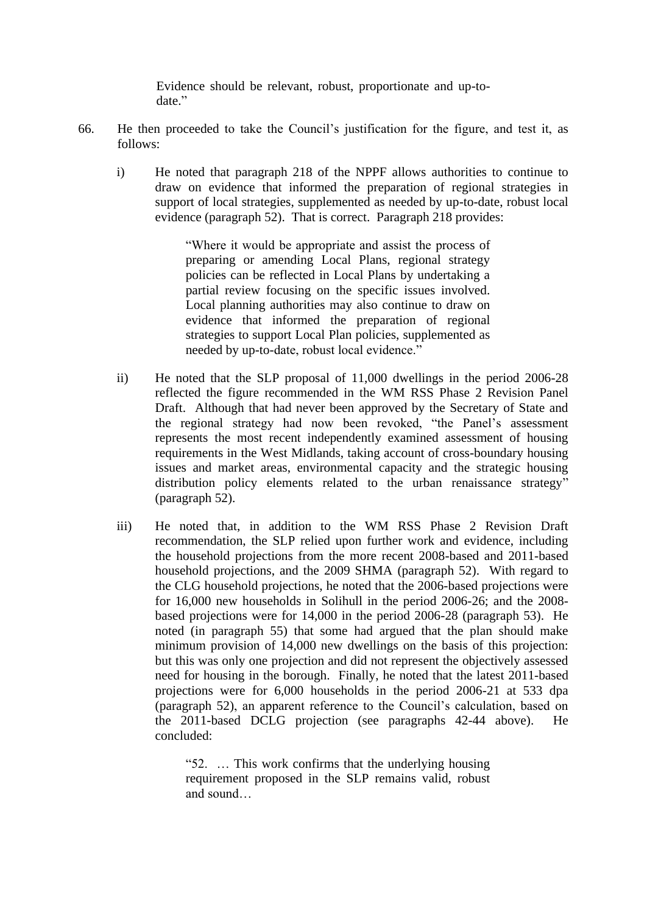Evidence should be relevant, robust, proportionate and up-todate."

- 66. He then proceeded to take the Council's justification for the figure, and test it, as follows:
	- i) He noted that paragraph 218 of the NPPF allows authorities to continue to draw on evidence that informed the preparation of regional strategies in support of local strategies, supplemented as needed by up-to-date, robust local evidence (paragraph 52). That is correct. Paragraph 218 provides:

"Where it would be appropriate and assist the process of preparing or amending Local Plans, regional strategy policies can be reflected in Local Plans by undertaking a partial review focusing on the specific issues involved. Local planning authorities may also continue to draw on evidence that informed the preparation of regional strategies to support Local Plan policies, supplemented as needed by up-to-date, robust local evidence."

- ii) He noted that the SLP proposal of 11,000 dwellings in the period 2006-28 reflected the figure recommended in the WM RSS Phase 2 Revision Panel Draft. Although that had never been approved by the Secretary of State and the regional strategy had now been revoked, "the Panel's assessment represents the most recent independently examined assessment of housing requirements in the West Midlands, taking account of cross-boundary housing issues and market areas, environmental capacity and the strategic housing distribution policy elements related to the urban renaissance strategy" (paragraph 52).
- iii) He noted that, in addition to the WM RSS Phase 2 Revision Draft recommendation, the SLP relied upon further work and evidence, including the household projections from the more recent 2008-based and 2011-based household projections, and the 2009 SHMA (paragraph 52). With regard to the CLG household projections, he noted that the 2006-based projections were for 16,000 new households in Solihull in the period 2006-26; and the 2008 based projections were for 14,000 in the period 2006-28 (paragraph 53). He noted (in paragraph 55) that some had argued that the plan should make minimum provision of 14,000 new dwellings on the basis of this projection: but this was only one projection and did not represent the objectively assessed need for housing in the borough. Finally, he noted that the latest 2011-based projections were for 6,000 households in the period 2006-21 at 533 dpa (paragraph 52), an apparent reference to the Council's calculation, based on the 2011-based DCLG projection (see paragraphs 42-44 above). He concluded:

"52. … This work confirms that the underlying housing requirement proposed in the SLP remains valid, robust and sound…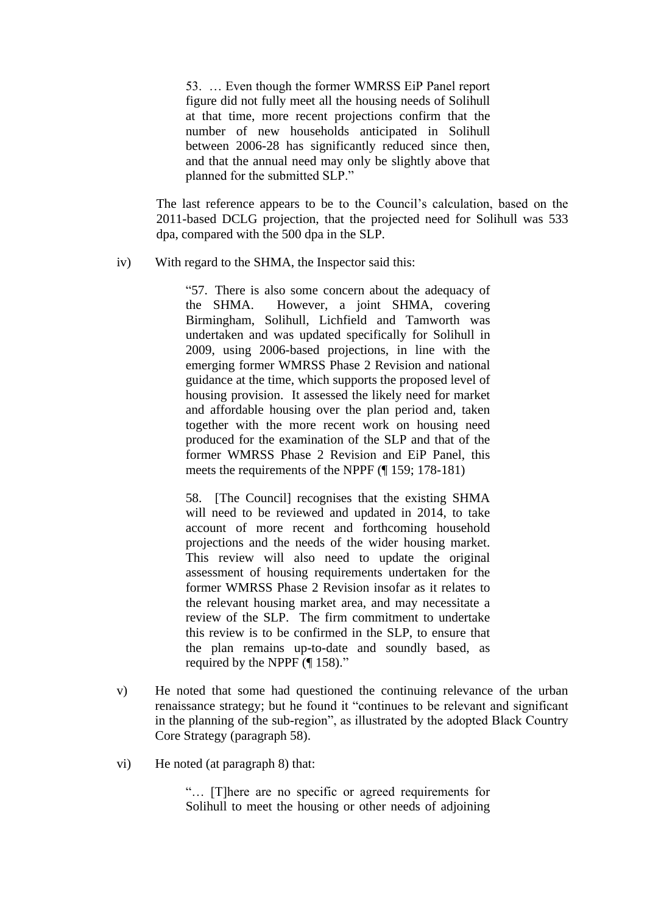53. … Even though the former WMRSS EiP Panel report figure did not fully meet all the housing needs of Solihull at that time, more recent projections confirm that the number of new households anticipated in Solihull between 2006-28 has significantly reduced since then, and that the annual need may only be slightly above that planned for the submitted SLP."

The last reference appears to be to the Council's calculation, based on the 2011-based DCLG projection, that the projected need for Solihull was 533 dpa, compared with the 500 dpa in the SLP.

iv) With regard to the SHMA, the Inspector said this:

"57. There is also some concern about the adequacy of the SHMA. However, a joint SHMA, covering Birmingham, Solihull, Lichfield and Tamworth was undertaken and was updated specifically for Solihull in 2009, using 2006-based projections, in line with the emerging former WMRSS Phase 2 Revision and national guidance at the time, which supports the proposed level of housing provision. It assessed the likely need for market and affordable housing over the plan period and, taken together with the more recent work on housing need produced for the examination of the SLP and that of the former WMRSS Phase 2 Revision and EiP Panel, this meets the requirements of the NPPF (¶ 159; 178-181)

58. [The Council] recognises that the existing SHMA will need to be reviewed and updated in 2014, to take account of more recent and forthcoming household projections and the needs of the wider housing market. This review will also need to update the original assessment of housing requirements undertaken for the former WMRSS Phase 2 Revision insofar as it relates to the relevant housing market area, and may necessitate a review of the SLP. The firm commitment to undertake this review is to be confirmed in the SLP, to ensure that the plan remains up-to-date and soundly based, as required by the NPPF (¶ 158)."

- v) He noted that some had questioned the continuing relevance of the urban renaissance strategy; but he found it "continues to be relevant and significant in the planning of the sub-region", as illustrated by the adopted Black Country Core Strategy (paragraph 58).
- vi) He noted (at paragraph 8) that:

"… [T]here are no specific or agreed requirements for Solihull to meet the housing or other needs of adjoining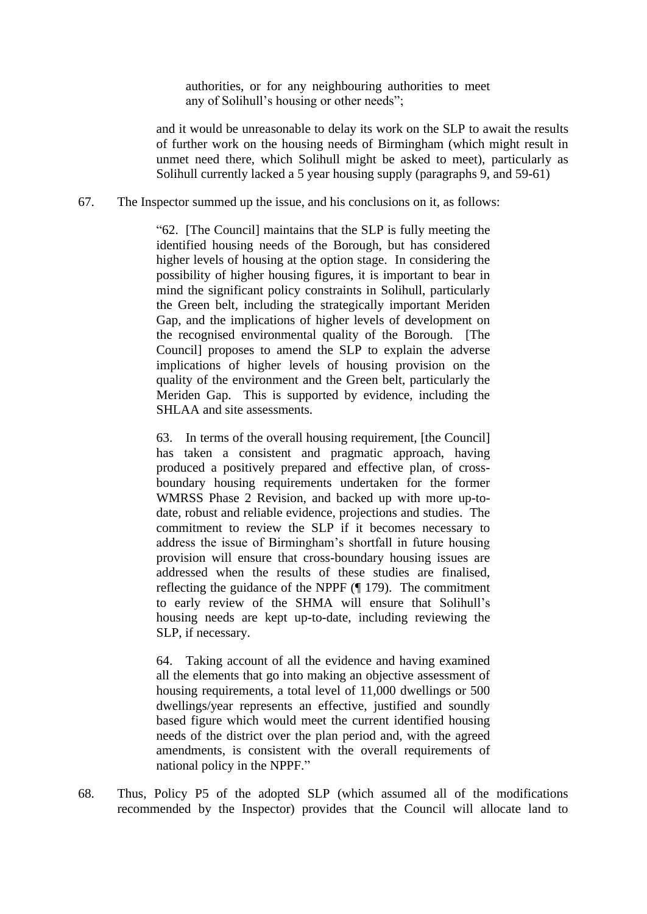authorities, or for any neighbouring authorities to meet any of Solihull's housing or other needs";

and it would be unreasonable to delay its work on the SLP to await the results of further work on the housing needs of Birmingham (which might result in unmet need there, which Solihull might be asked to meet), particularly as Solihull currently lacked a 5 year housing supply (paragraphs 9, and 59-61)

67. The Inspector summed up the issue, and his conclusions on it, as follows:

"62. [The Council] maintains that the SLP is fully meeting the identified housing needs of the Borough, but has considered higher levels of housing at the option stage. In considering the possibility of higher housing figures, it is important to bear in mind the significant policy constraints in Solihull, particularly the Green belt, including the strategically important Meriden Gap, and the implications of higher levels of development on the recognised environmental quality of the Borough. [The Council] proposes to amend the SLP to explain the adverse implications of higher levels of housing provision on the quality of the environment and the Green belt, particularly the Meriden Gap. This is supported by evidence, including the SHLAA and site assessments.

63. In terms of the overall housing requirement, [the Council] has taken a consistent and pragmatic approach, having produced a positively prepared and effective plan, of crossboundary housing requirements undertaken for the former WMRSS Phase 2 Revision, and backed up with more up-todate, robust and reliable evidence, projections and studies. The commitment to review the SLP if it becomes necessary to address the issue of Birmingham's shortfall in future housing provision will ensure that cross-boundary housing issues are addressed when the results of these studies are finalised, reflecting the guidance of the NPPF (¶ 179). The commitment to early review of the SHMA will ensure that Solihull's housing needs are kept up-to-date, including reviewing the SLP, if necessary.

64. Taking account of all the evidence and having examined all the elements that go into making an objective assessment of housing requirements, a total level of 11,000 dwellings or 500 dwellings/year represents an effective, justified and soundly based figure which would meet the current identified housing needs of the district over the plan period and, with the agreed amendments, is consistent with the overall requirements of national policy in the NPPF."

68. Thus, Policy P5 of the adopted SLP (which assumed all of the modifications recommended by the Inspector) provides that the Council will allocate land to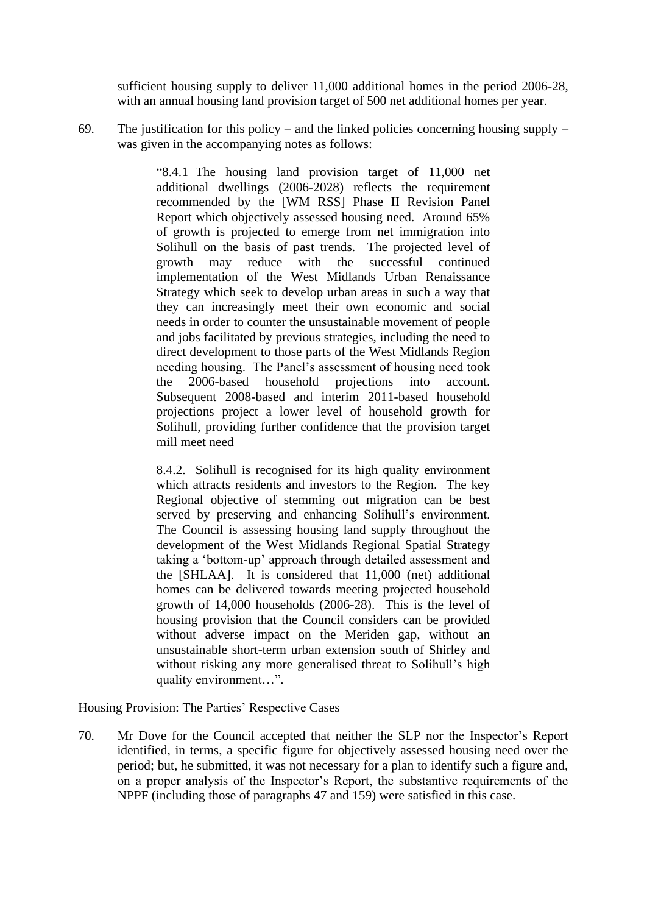sufficient housing supply to deliver 11,000 additional homes in the period 2006-28, with an annual housing land provision target of 500 net additional homes per year.

69. The justification for this policy – and the linked policies concerning housing supply – was given in the accompanying notes as follows:

> "8.4.1 The housing land provision target of 11,000 net additional dwellings (2006-2028) reflects the requirement recommended by the [WM RSS] Phase II Revision Panel Report which objectively assessed housing need. Around 65% of growth is projected to emerge from net immigration into Solihull on the basis of past trends. The projected level of growth may reduce with the successful continued implementation of the West Midlands Urban Renaissance Strategy which seek to develop urban areas in such a way that they can increasingly meet their own economic and social needs in order to counter the unsustainable movement of people and jobs facilitated by previous strategies, including the need to direct development to those parts of the West Midlands Region needing housing. The Panel's assessment of housing need took the 2006-based household projections into account. Subsequent 2008-based and interim 2011-based household projections project a lower level of household growth for Solihull, providing further confidence that the provision target mill meet need

> 8.4.2. Solihull is recognised for its high quality environment which attracts residents and investors to the Region. The key Regional objective of stemming out migration can be best served by preserving and enhancing Solihull's environment. The Council is assessing housing land supply throughout the development of the West Midlands Regional Spatial Strategy taking a 'bottom-up' approach through detailed assessment and the [SHLAA]. It is considered that 11,000 (net) additional homes can be delivered towards meeting projected household growth of 14,000 households (2006-28). This is the level of housing provision that the Council considers can be provided without adverse impact on the Meriden gap, without an unsustainable short-term urban extension south of Shirley and without risking any more generalised threat to Solihull's high quality environment…".

Housing Provision: The Parties' Respective Cases

70. Mr Dove for the Council accepted that neither the SLP nor the Inspector's Report identified, in terms, a specific figure for objectively assessed housing need over the period; but, he submitted, it was not necessary for a plan to identify such a figure and, on a proper analysis of the Inspector's Report, the substantive requirements of the NPPF (including those of paragraphs 47 and 159) were satisfied in this case.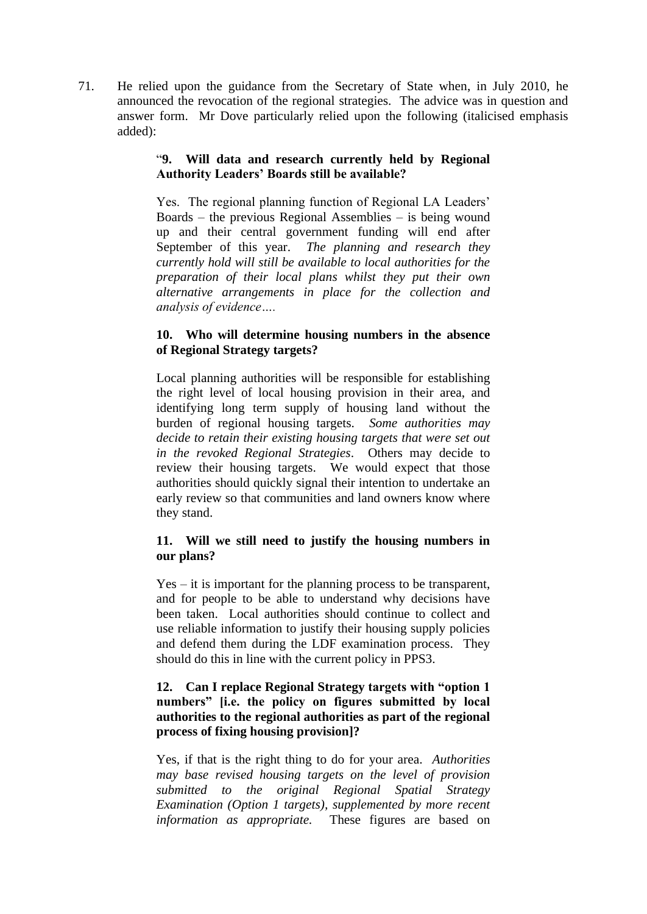71. He relied upon the guidance from the Secretary of State when, in July 2010, he announced the revocation of the regional strategies. The advice was in question and answer form. Mr Dove particularly relied upon the following (italicised emphasis added):

# "**9. Will data and research currently held by Regional Authority Leaders' Boards still be available?**

Yes. The regional planning function of Regional LA Leaders' Boards – the previous Regional Assemblies – is being wound up and their central government funding will end after September of this year. *The planning and research they currently hold will still be available to local authorities for the preparation of their local plans whilst they put their own alternative arrangements in place for the collection and analysis of evidence….*

# **10. Who will determine housing numbers in the absence of Regional Strategy targets?**

Local planning authorities will be responsible for establishing the right level of local housing provision in their area, and identifying long term supply of housing land without the burden of regional housing targets. *Some authorities may decide to retain their existing housing targets that were set out in the revoked Regional Strategies*. Others may decide to review their housing targets. We would expect that those authorities should quickly signal their intention to undertake an early review so that communities and land owners know where they stand.

# **11. Will we still need to justify the housing numbers in our plans?**

Yes – it is important for the planning process to be transparent, and for people to be able to understand why decisions have been taken. Local authorities should continue to collect and use reliable information to justify their housing supply policies and defend them during the LDF examination process. They should do this in line with the current policy in PPS3.

# **12. Can I replace Regional Strategy targets with "option 1 numbers" [i.e. the policy on figures submitted by local authorities to the regional authorities as part of the regional process of fixing housing provision]?**

Yes, if that is the right thing to do for your area. *Authorities may base revised housing targets on the level of provision submitted to the original Regional Spatial Strategy Examination (Option 1 targets), supplemented by more recent information as appropriate.* These figures are based on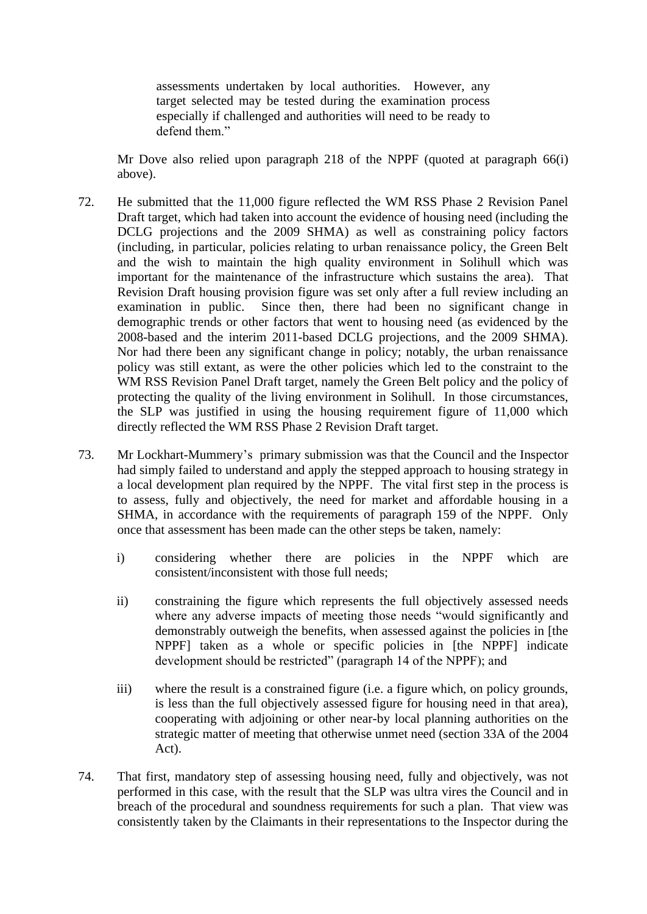assessments undertaken by local authorities. However, any target selected may be tested during the examination process especially if challenged and authorities will need to be ready to defend them."

Mr Dove also relied upon paragraph 218 of the NPPF (quoted at paragraph 66(i) above).

- 72. He submitted that the 11,000 figure reflected the WM RSS Phase 2 Revision Panel Draft target, which had taken into account the evidence of housing need (including the DCLG projections and the 2009 SHMA) as well as constraining policy factors (including, in particular, policies relating to urban renaissance policy, the Green Belt and the wish to maintain the high quality environment in Solihull which was important for the maintenance of the infrastructure which sustains the area). That Revision Draft housing provision figure was set only after a full review including an examination in public. Since then, there had been no significant change in demographic trends or other factors that went to housing need (as evidenced by the 2008-based and the interim 2011-based DCLG projections, and the 2009 SHMA). Nor had there been any significant change in policy; notably, the urban renaissance policy was still extant, as were the other policies which led to the constraint to the WM RSS Revision Panel Draft target, namely the Green Belt policy and the policy of protecting the quality of the living environment in Solihull. In those circumstances, the SLP was justified in using the housing requirement figure of 11,000 which directly reflected the WM RSS Phase 2 Revision Draft target.
- 73. Mr Lockhart-Mummery's primary submission was that the Council and the Inspector had simply failed to understand and apply the stepped approach to housing strategy in a local development plan required by the NPPF. The vital first step in the process is to assess, fully and objectively, the need for market and affordable housing in a SHMA, in accordance with the requirements of paragraph 159 of the NPPF. Only once that assessment has been made can the other steps be taken, namely:
	- i) considering whether there are policies in the NPPF which are consistent/inconsistent with those full needs;
	- ii) constraining the figure which represents the full objectively assessed needs where any adverse impacts of meeting those needs "would significantly and demonstrably outweigh the benefits, when assessed against the policies in [the NPPF] taken as a whole or specific policies in [the NPPF] indicate development should be restricted" (paragraph 14 of the NPPF); and
	- iii) where the result is a constrained figure (i.e. a figure which, on policy grounds, is less than the full objectively assessed figure for housing need in that area), cooperating with adjoining or other near-by local planning authorities on the strategic matter of meeting that otherwise unmet need (section 33A of the 2004 Act).
- 74. That first, mandatory step of assessing housing need, fully and objectively, was not performed in this case, with the result that the SLP was ultra vires the Council and in breach of the procedural and soundness requirements for such a plan. That view was consistently taken by the Claimants in their representations to the Inspector during the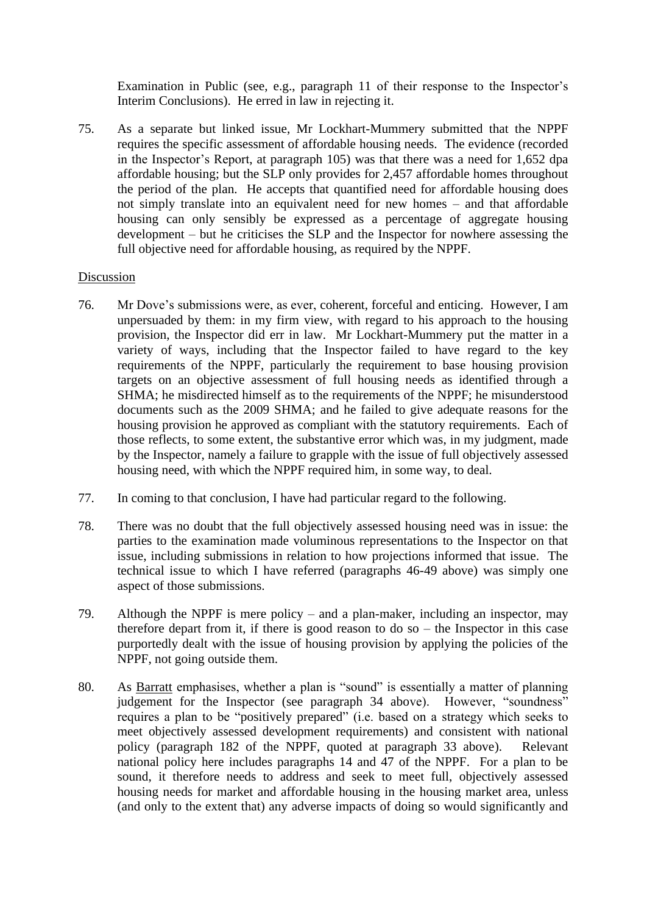Examination in Public (see, e.g., paragraph 11 of their response to the Inspector's Interim Conclusions). He erred in law in rejecting it.

75. As a separate but linked issue, Mr Lockhart-Mummery submitted that the NPPF requires the specific assessment of affordable housing needs. The evidence (recorded in the Inspector's Report, at paragraph 105) was that there was a need for 1,652 dpa affordable housing; but the SLP only provides for 2,457 affordable homes throughout the period of the plan. He accepts that quantified need for affordable housing does not simply translate into an equivalent need for new homes – and that affordable housing can only sensibly be expressed as a percentage of aggregate housing development – but he criticises the SLP and the Inspector for nowhere assessing the full objective need for affordable housing, as required by the NPPF.

# Discussion

- 76. Mr Dove's submissions were, as ever, coherent, forceful and enticing. However, I am unpersuaded by them: in my firm view, with regard to his approach to the housing provision, the Inspector did err in law. Mr Lockhart-Mummery put the matter in a variety of ways, including that the Inspector failed to have regard to the key requirements of the NPPF, particularly the requirement to base housing provision targets on an objective assessment of full housing needs as identified through a SHMA; he misdirected himself as to the requirements of the NPPF; he misunderstood documents such as the 2009 SHMA; and he failed to give adequate reasons for the housing provision he approved as compliant with the statutory requirements. Each of those reflects, to some extent, the substantive error which was, in my judgment, made by the Inspector, namely a failure to grapple with the issue of full objectively assessed housing need, with which the NPPF required him, in some way, to deal.
- 77. In coming to that conclusion, I have had particular regard to the following.
- 78. There was no doubt that the full objectively assessed housing need was in issue: the parties to the examination made voluminous representations to the Inspector on that issue, including submissions in relation to how projections informed that issue. The technical issue to which I have referred (paragraphs 46-49 above) was simply one aspect of those submissions.
- 79. Although the NPPF is mere policy and a plan-maker, including an inspector, may therefore depart from it, if there is good reason to do so – the Inspector in this case purportedly dealt with the issue of housing provision by applying the policies of the NPPF, not going outside them.
- 80. As Barratt emphasises, whether a plan is "sound" is essentially a matter of planning judgement for the Inspector (see paragraph 34 above). However, "soundness" requires a plan to be "positively prepared" (i.e. based on a strategy which seeks to meet objectively assessed development requirements) and consistent with national policy (paragraph 182 of the NPPF, quoted at paragraph 33 above). Relevant national policy here includes paragraphs 14 and 47 of the NPPF. For a plan to be sound, it therefore needs to address and seek to meet full, objectively assessed housing needs for market and affordable housing in the housing market area, unless (and only to the extent that) any adverse impacts of doing so would significantly and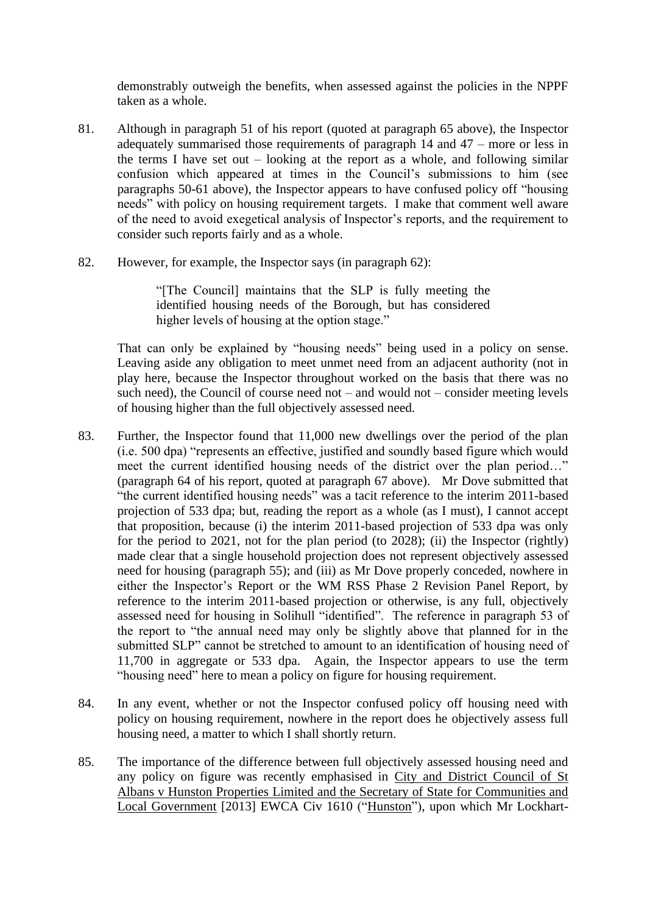demonstrably outweigh the benefits, when assessed against the policies in the NPPF taken as a whole.

- 81. Although in paragraph 51 of his report (quoted at paragraph 65 above), the Inspector adequately summarised those requirements of paragraph 14 and 47 – more or less in the terms I have set out – looking at the report as a whole, and following similar confusion which appeared at times in the Council's submissions to him (see paragraphs 50-61 above), the Inspector appears to have confused policy off "housing needs" with policy on housing requirement targets. I make that comment well aware of the need to avoid exegetical analysis of Inspector's reports, and the requirement to consider such reports fairly and as a whole.
- 82. However, for example, the Inspector says (in paragraph 62):

"[The Council] maintains that the SLP is fully meeting the identified housing needs of the Borough, but has considered higher levels of housing at the option stage."

That can only be explained by "housing needs" being used in a policy on sense. Leaving aside any obligation to meet unmet need from an adjacent authority (not in play here, because the Inspector throughout worked on the basis that there was no such need), the Council of course need not – and would not – consider meeting levels of housing higher than the full objectively assessed need.

- 83. Further, the Inspector found that 11,000 new dwellings over the period of the plan (i.e. 500 dpa) "represents an effective, justified and soundly based figure which would meet the current identified housing needs of the district over the plan period…" (paragraph 64 of his report, quoted at paragraph 67 above). Mr Dove submitted that "the current identified housing needs" was a tacit reference to the interim 2011-based projection of 533 dpa; but, reading the report as a whole (as I must), I cannot accept that proposition, because (i) the interim 2011-based projection of 533 dpa was only for the period to 2021, not for the plan period (to 2028); (ii) the Inspector (rightly) made clear that a single household projection does not represent objectively assessed need for housing (paragraph 55); and (iii) as Mr Dove properly conceded, nowhere in either the Inspector's Report or the WM RSS Phase 2 Revision Panel Report, by reference to the interim 2011-based projection or otherwise, is any full, objectively assessed need for housing in Solihull "identified". The reference in paragraph 53 of the report to "the annual need may only be slightly above that planned for in the submitted SLP" cannot be stretched to amount to an identification of housing need of 11,700 in aggregate or 533 dpa. Again, the Inspector appears to use the term "housing need" here to mean a policy on figure for housing requirement.
- 84. In any event, whether or not the Inspector confused policy off housing need with policy on housing requirement, nowhere in the report does he objectively assess full housing need, a matter to which I shall shortly return.
- 85. The importance of the difference between full objectively assessed housing need and any policy on figure was recently emphasised in City and District Council of St Albans v Hunston Properties Limited and the Secretary of State for Communities and Local Government [2013] EWCA Civ 1610 ("Hunston"), upon which Mr Lockhart-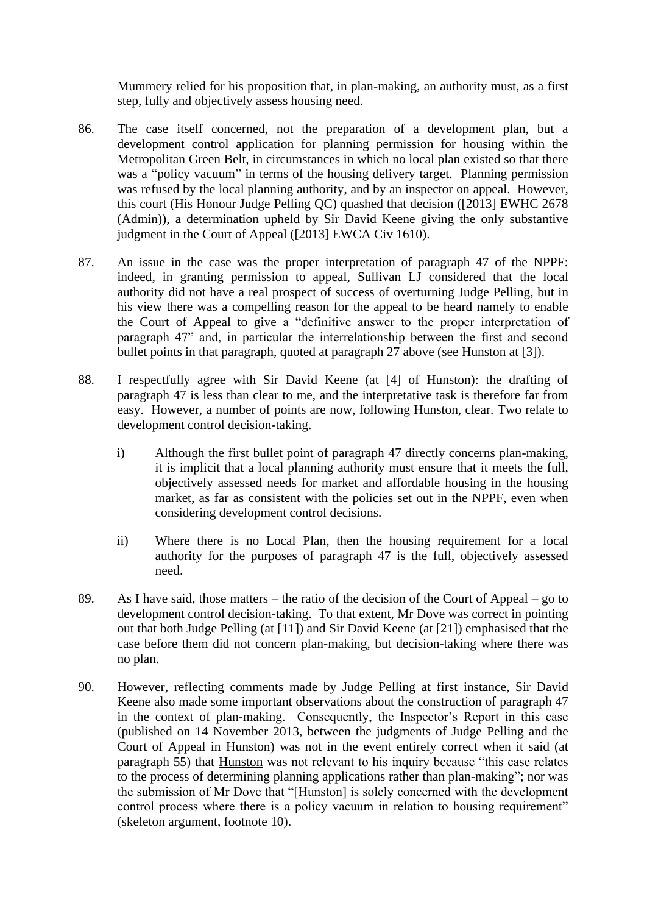Mummery relied for his proposition that, in plan-making, an authority must, as a first step, fully and objectively assess housing need.

- 86. The case itself concerned, not the preparation of a development plan, but a development control application for planning permission for housing within the Metropolitan Green Belt, in circumstances in which no local plan existed so that there was a "policy vacuum" in terms of the housing delivery target. Planning permission was refused by the local planning authority, and by an inspector on appeal. However, this court (His Honour Judge Pelling QC) quashed that decision ([2013] EWHC 2678 (Admin)), a determination upheld by Sir David Keene giving the only substantive judgment in the Court of Appeal ([2013] EWCA Civ 1610).
- 87. An issue in the case was the proper interpretation of paragraph 47 of the NPPF: indeed, in granting permission to appeal, Sullivan LJ considered that the local authority did not have a real prospect of success of overturning Judge Pelling, but in his view there was a compelling reason for the appeal to be heard namely to enable the Court of Appeal to give a "definitive answer to the proper interpretation of paragraph 47" and, in particular the interrelationship between the first and second bullet points in that paragraph, quoted at paragraph 27 above (see Hunston at [3]).
- 88. I respectfully agree with Sir David Keene (at [4] of Hunston): the drafting of paragraph 47 is less than clear to me, and the interpretative task is therefore far from easy. However, a number of points are now, following Hunston, clear. Two relate to development control decision-taking.
	- i) Although the first bullet point of paragraph 47 directly concerns plan-making, it is implicit that a local planning authority must ensure that it meets the full, objectively assessed needs for market and affordable housing in the housing market, as far as consistent with the policies set out in the NPPF, even when considering development control decisions.
	- ii) Where there is no Local Plan, then the housing requirement for a local authority for the purposes of paragraph 47 is the full, objectively assessed need.
- 89. As I have said, those matters the ratio of the decision of the Court of Appeal go to development control decision-taking. To that extent, Mr Dove was correct in pointing out that both Judge Pelling (at [11]) and Sir David Keene (at [21]) emphasised that the case before them did not concern plan-making, but decision-taking where there was no plan.
- 90. However, reflecting comments made by Judge Pelling at first instance, Sir David Keene also made some important observations about the construction of paragraph 47 in the context of plan-making. Consequently, the Inspector's Report in this case (published on 14 November 2013, between the judgments of Judge Pelling and the Court of Appeal in Hunston) was not in the event entirely correct when it said (at paragraph 55) that Hunston was not relevant to his inquiry because "this case relates to the process of determining planning applications rather than plan-making"; nor was the submission of Mr Dove that "[Hunston] is solely concerned with the development control process where there is a policy vacuum in relation to housing requirement" (skeleton argument, footnote 10).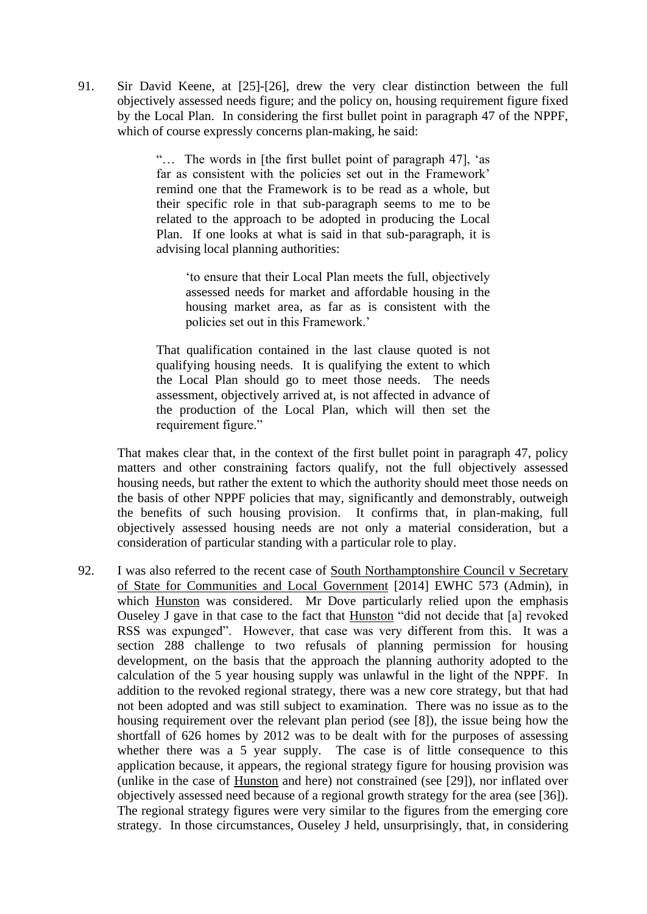91. Sir David Keene, at [25]-[26], drew the very clear distinction between the full objectively assessed needs figure; and the policy on, housing requirement figure fixed by the Local Plan. In considering the first bullet point in paragraph 47 of the NPPF, which of course expressly concerns plan-making, he said:

> "… The words in [the first bullet point of paragraph 47], 'as far as consistent with the policies set out in the Framework' remind one that the Framework is to be read as a whole, but their specific role in that sub-paragraph seems to me to be related to the approach to be adopted in producing the Local Plan. If one looks at what is said in that sub-paragraph, it is advising local planning authorities:

'to ensure that their Local Plan meets the full, objectively assessed needs for market and affordable housing in the housing market area, as far as is consistent with the policies set out in this Framework.'

That qualification contained in the last clause quoted is not qualifying housing needs. It is qualifying the extent to which the Local Plan should go to meet those needs. The needs assessment, objectively arrived at, is not affected in advance of the production of the Local Plan, which will then set the requirement figure."

That makes clear that, in the context of the first bullet point in paragraph 47, policy matters and other constraining factors qualify, not the full objectively assessed housing needs, but rather the extent to which the authority should meet those needs on the basis of other NPPF policies that may, significantly and demonstrably, outweigh the benefits of such housing provision. It confirms that, in plan-making, full objectively assessed housing needs are not only a material consideration, but a consideration of particular standing with a particular role to play.

92. I was also referred to the recent case of South Northamptonshire Council v Secretary of State for Communities and Local Government [2014] EWHC 573 (Admin), in which Hunston was considered. Mr Dove particularly relied upon the emphasis Ouseley J gave in that case to the fact that Hunston "did not decide that [a] revoked RSS was expunged". However, that case was very different from this. It was a section 288 challenge to two refusals of planning permission for housing development, on the basis that the approach the planning authority adopted to the calculation of the 5 year housing supply was unlawful in the light of the NPPF. In addition to the revoked regional strategy, there was a new core strategy, but that had not been adopted and was still subject to examination. There was no issue as to the housing requirement over the relevant plan period (see [8]), the issue being how the shortfall of 626 homes by 2012 was to be dealt with for the purposes of assessing whether there was a 5 year supply. The case is of little consequence to this application because, it appears, the regional strategy figure for housing provision was (unlike in the case of Hunston and here) not constrained (see [29]), nor inflated over objectively assessed need because of a regional growth strategy for the area (see [36]). The regional strategy figures were very similar to the figures from the emerging core strategy. In those circumstances, Ouseley J held, unsurprisingly, that, in considering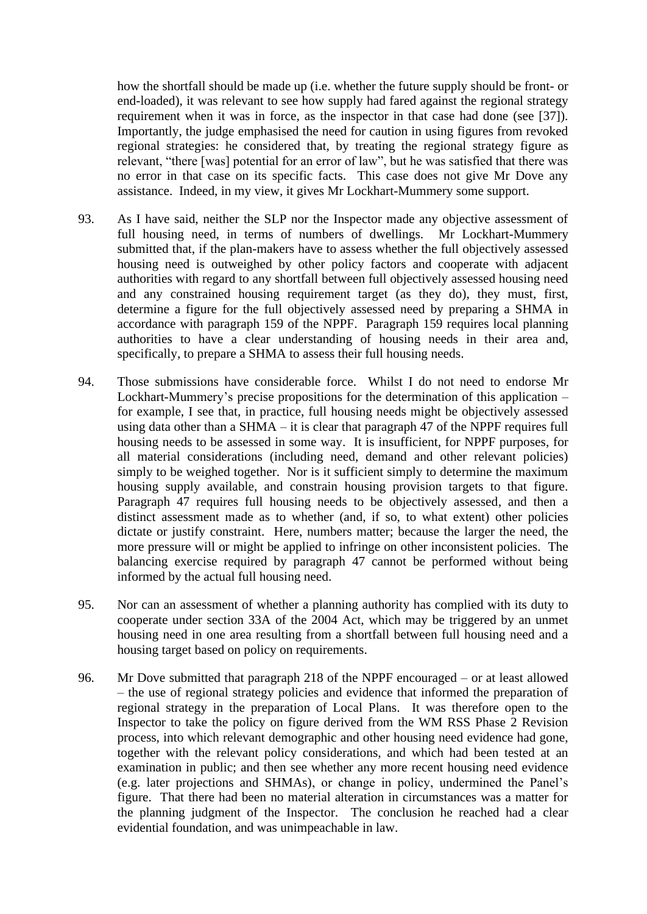how the shortfall should be made up (i.e. whether the future supply should be front- or end-loaded), it was relevant to see how supply had fared against the regional strategy requirement when it was in force, as the inspector in that case had done (see [37]). Importantly, the judge emphasised the need for caution in using figures from revoked regional strategies: he considered that, by treating the regional strategy figure as relevant, "there [was] potential for an error of law", but he was satisfied that there was no error in that case on its specific facts. This case does not give Mr Dove any assistance. Indeed, in my view, it gives Mr Lockhart-Mummery some support.

- 93. As I have said, neither the SLP nor the Inspector made any objective assessment of full housing need, in terms of numbers of dwellings. Mr Lockhart-Mummery submitted that, if the plan-makers have to assess whether the full objectively assessed housing need is outweighed by other policy factors and cooperate with adjacent authorities with regard to any shortfall between full objectively assessed housing need and any constrained housing requirement target (as they do), they must, first, determine a figure for the full objectively assessed need by preparing a SHMA in accordance with paragraph 159 of the NPPF. Paragraph 159 requires local planning authorities to have a clear understanding of housing needs in their area and, specifically, to prepare a SHMA to assess their full housing needs.
- 94. Those submissions have considerable force. Whilst I do not need to endorse Mr Lockhart-Mummery's precise propositions for the determination of this application – for example, I see that, in practice, full housing needs might be objectively assessed using data other than a SHMA – it is clear that paragraph 47 of the NPPF requires full housing needs to be assessed in some way. It is insufficient, for NPPF purposes, for all material considerations (including need, demand and other relevant policies) simply to be weighed together. Nor is it sufficient simply to determine the maximum housing supply available, and constrain housing provision targets to that figure. Paragraph 47 requires full housing needs to be objectively assessed, and then a distinct assessment made as to whether (and, if so, to what extent) other policies dictate or justify constraint. Here, numbers matter; because the larger the need, the more pressure will or might be applied to infringe on other inconsistent policies. The balancing exercise required by paragraph 47 cannot be performed without being informed by the actual full housing need.
- 95. Nor can an assessment of whether a planning authority has complied with its duty to cooperate under section 33A of the 2004 Act, which may be triggered by an unmet housing need in one area resulting from a shortfall between full housing need and a housing target based on policy on requirements.
- 96. Mr Dove submitted that paragraph 218 of the NPPF encouraged or at least allowed – the use of regional strategy policies and evidence that informed the preparation of regional strategy in the preparation of Local Plans. It was therefore open to the Inspector to take the policy on figure derived from the WM RSS Phase 2 Revision process, into which relevant demographic and other housing need evidence had gone, together with the relevant policy considerations, and which had been tested at an examination in public; and then see whether any more recent housing need evidence (e.g. later projections and SHMAs), or change in policy, undermined the Panel's figure. That there had been no material alteration in circumstances was a matter for the planning judgment of the Inspector. The conclusion he reached had a clear evidential foundation, and was unimpeachable in law.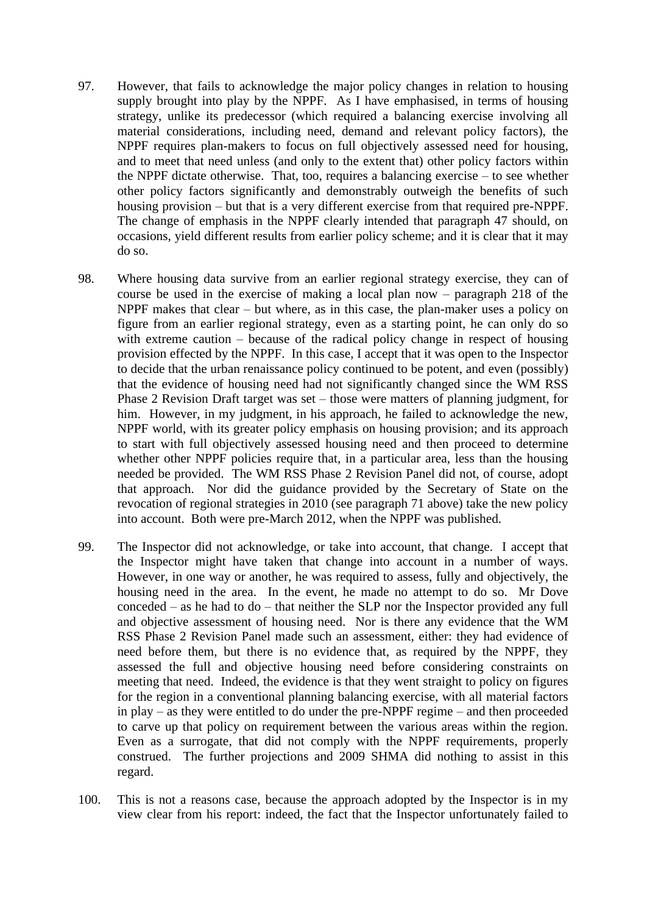- 97. However, that fails to acknowledge the major policy changes in relation to housing supply brought into play by the NPPF. As I have emphasised, in terms of housing strategy, unlike its predecessor (which required a balancing exercise involving all material considerations, including need, demand and relevant policy factors), the NPPF requires plan-makers to focus on full objectively assessed need for housing, and to meet that need unless (and only to the extent that) other policy factors within the NPPF dictate otherwise. That, too, requires a balancing exercise – to see whether other policy factors significantly and demonstrably outweigh the benefits of such housing provision – but that is a very different exercise from that required pre-NPPF. The change of emphasis in the NPPF clearly intended that paragraph 47 should, on occasions, yield different results from earlier policy scheme; and it is clear that it may do so.
- 98. Where housing data survive from an earlier regional strategy exercise, they can of course be used in the exercise of making a local plan now – paragraph 218 of the NPPF makes that clear – but where, as in this case, the plan-maker uses a policy on figure from an earlier regional strategy, even as a starting point, he can only do so with extreme caution – because of the radical policy change in respect of housing provision effected by the NPPF. In this case, I accept that it was open to the Inspector to decide that the urban renaissance policy continued to be potent, and even (possibly) that the evidence of housing need had not significantly changed since the WM RSS Phase 2 Revision Draft target was set – those were matters of planning judgment, for him. However, in my judgment, in his approach, he failed to acknowledge the new, NPPF world, with its greater policy emphasis on housing provision; and its approach to start with full objectively assessed housing need and then proceed to determine whether other NPPF policies require that, in a particular area, less than the housing needed be provided. The WM RSS Phase 2 Revision Panel did not, of course, adopt that approach. Nor did the guidance provided by the Secretary of State on the revocation of regional strategies in 2010 (see paragraph 71 above) take the new policy into account. Both were pre-March 2012, when the NPPF was published.
- 99. The Inspector did not acknowledge, or take into account, that change. I accept that the Inspector might have taken that change into account in a number of ways. However, in one way or another, he was required to assess, fully and objectively, the housing need in the area. In the event, he made no attempt to do so. Mr Dove conceded – as he had to do – that neither the SLP nor the Inspector provided any full and objective assessment of housing need. Nor is there any evidence that the WM RSS Phase 2 Revision Panel made such an assessment, either: they had evidence of need before them, but there is no evidence that, as required by the NPPF, they assessed the full and objective housing need before considering constraints on meeting that need. Indeed, the evidence is that they went straight to policy on figures for the region in a conventional planning balancing exercise, with all material factors in play – as they were entitled to do under the pre-NPPF regime – and then proceeded to carve up that policy on requirement between the various areas within the region. Even as a surrogate, that did not comply with the NPPF requirements, properly construed. The further projections and 2009 SHMA did nothing to assist in this regard.
- 100. This is not a reasons case, because the approach adopted by the Inspector is in my view clear from his report: indeed, the fact that the Inspector unfortunately failed to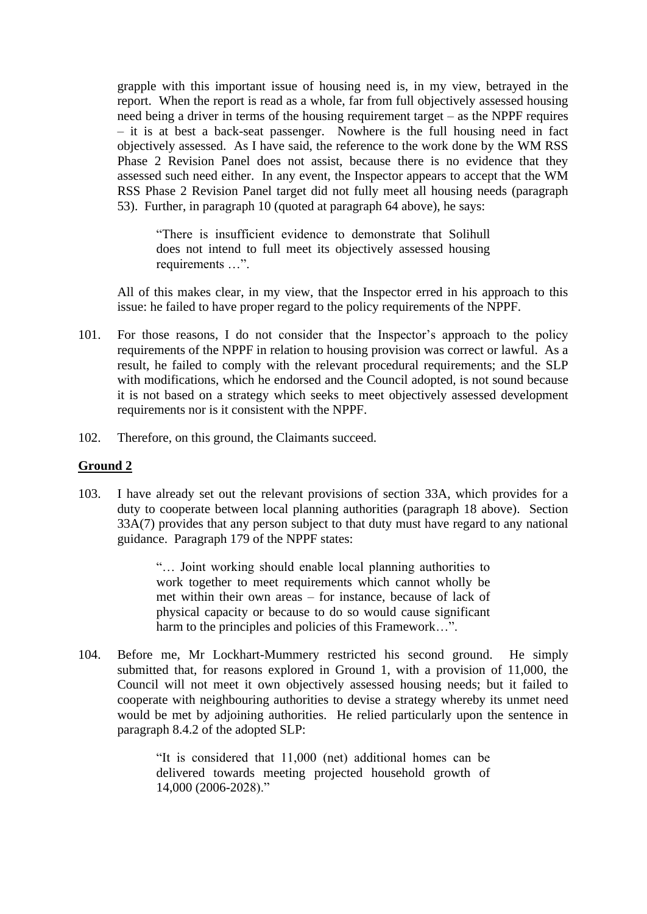grapple with this important issue of housing need is, in my view, betrayed in the report. When the report is read as a whole, far from full objectively assessed housing need being a driver in terms of the housing requirement target – as the NPPF requires – it is at best a back-seat passenger. Nowhere is the full housing need in fact objectively assessed. As I have said, the reference to the work done by the WM RSS Phase 2 Revision Panel does not assist, because there is no evidence that they assessed such need either. In any event, the Inspector appears to accept that the WM RSS Phase 2 Revision Panel target did not fully meet all housing needs (paragraph 53). Further, in paragraph 10 (quoted at paragraph 64 above), he says:

"There is insufficient evidence to demonstrate that Solihull does not intend to full meet its objectively assessed housing requirements …".

All of this makes clear, in my view, that the Inspector erred in his approach to this issue: he failed to have proper regard to the policy requirements of the NPPF.

- 101. For those reasons, I do not consider that the Inspector's approach to the policy requirements of the NPPF in relation to housing provision was correct or lawful. As a result, he failed to comply with the relevant procedural requirements; and the SLP with modifications, which he endorsed and the Council adopted, is not sound because it is not based on a strategy which seeks to meet objectively assessed development requirements nor is it consistent with the NPPF.
- 102. Therefore, on this ground, the Claimants succeed.

#### **Ground 2**

103. I have already set out the relevant provisions of section 33A, which provides for a duty to cooperate between local planning authorities (paragraph 18 above). Section 33A(7) provides that any person subject to that duty must have regard to any national guidance. Paragraph 179 of the NPPF states:

> "… Joint working should enable local planning authorities to work together to meet requirements which cannot wholly be met within their own areas – for instance, because of lack of physical capacity or because to do so would cause significant harm to the principles and policies of this Framework…".

104. Before me, Mr Lockhart-Mummery restricted his second ground. He simply submitted that, for reasons explored in Ground 1, with a provision of 11,000, the Council will not meet it own objectively assessed housing needs; but it failed to cooperate with neighbouring authorities to devise a strategy whereby its unmet need would be met by adjoining authorities. He relied particularly upon the sentence in paragraph 8.4.2 of the adopted SLP:

> "It is considered that 11,000 (net) additional homes can be delivered towards meeting projected household growth of 14,000 (2006-2028)."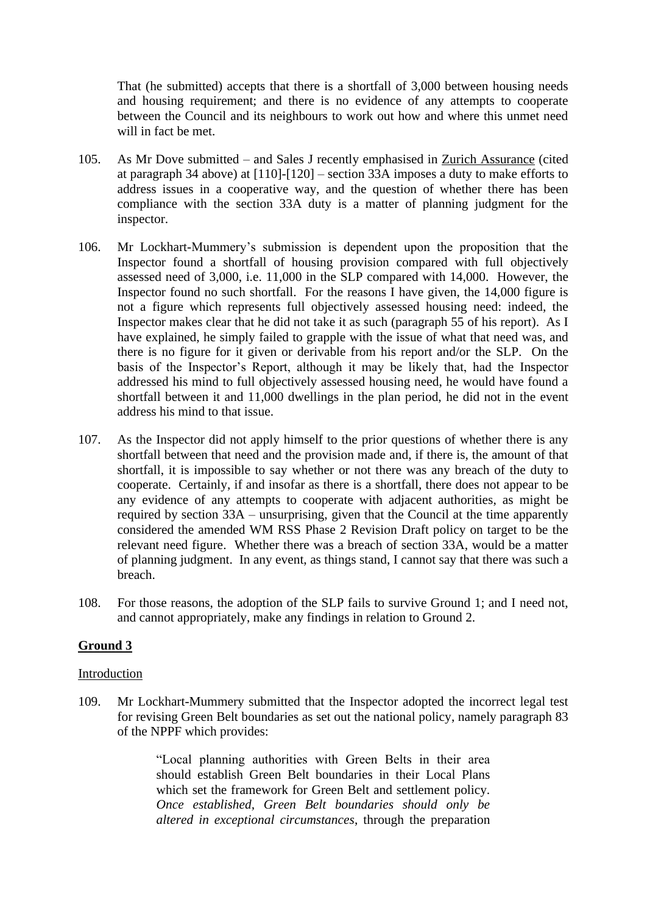That (he submitted) accepts that there is a shortfall of 3,000 between housing needs and housing requirement; and there is no evidence of any attempts to cooperate between the Council and its neighbours to work out how and where this unmet need will in fact be met.

- 105. As Mr Dove submitted and Sales J recently emphasised in Zurich Assurance (cited at paragraph 34 above) at [110]-[120] – section 33A imposes a duty to make efforts to address issues in a cooperative way, and the question of whether there has been compliance with the section 33A duty is a matter of planning judgment for the inspector.
- 106. Mr Lockhart-Mummery's submission is dependent upon the proposition that the Inspector found a shortfall of housing provision compared with full objectively assessed need of 3,000, i.e. 11,000 in the SLP compared with 14,000. However, the Inspector found no such shortfall. For the reasons I have given, the 14,000 figure is not a figure which represents full objectively assessed housing need: indeed, the Inspector makes clear that he did not take it as such (paragraph 55 of his report). As I have explained, he simply failed to grapple with the issue of what that need was, and there is no figure for it given or derivable from his report and/or the SLP. On the basis of the Inspector's Report, although it may be likely that, had the Inspector addressed his mind to full objectively assessed housing need, he would have found a shortfall between it and 11,000 dwellings in the plan period, he did not in the event address his mind to that issue.
- 107. As the Inspector did not apply himself to the prior questions of whether there is any shortfall between that need and the provision made and, if there is, the amount of that shortfall, it is impossible to say whether or not there was any breach of the duty to cooperate. Certainly, if and insofar as there is a shortfall, there does not appear to be any evidence of any attempts to cooperate with adjacent authorities, as might be required by section 33A – unsurprising, given that the Council at the time apparently considered the amended WM RSS Phase 2 Revision Draft policy on target to be the relevant need figure. Whether there was a breach of section 33A, would be a matter of planning judgment. In any event, as things stand, I cannot say that there was such a breach.
- 108. For those reasons, the adoption of the SLP fails to survive Ground 1; and I need not, and cannot appropriately, make any findings in relation to Ground 2.

# **Ground 3**

#### Introduction

109. Mr Lockhart-Mummery submitted that the Inspector adopted the incorrect legal test for revising Green Belt boundaries as set out the national policy, namely paragraph 83 of the NPPF which provides:

> "Local planning authorities with Green Belts in their area should establish Green Belt boundaries in their Local Plans which set the framework for Green Belt and settlement policy. *Once established, Green Belt boundaries should only be altered in exceptional circumstances*, through the preparation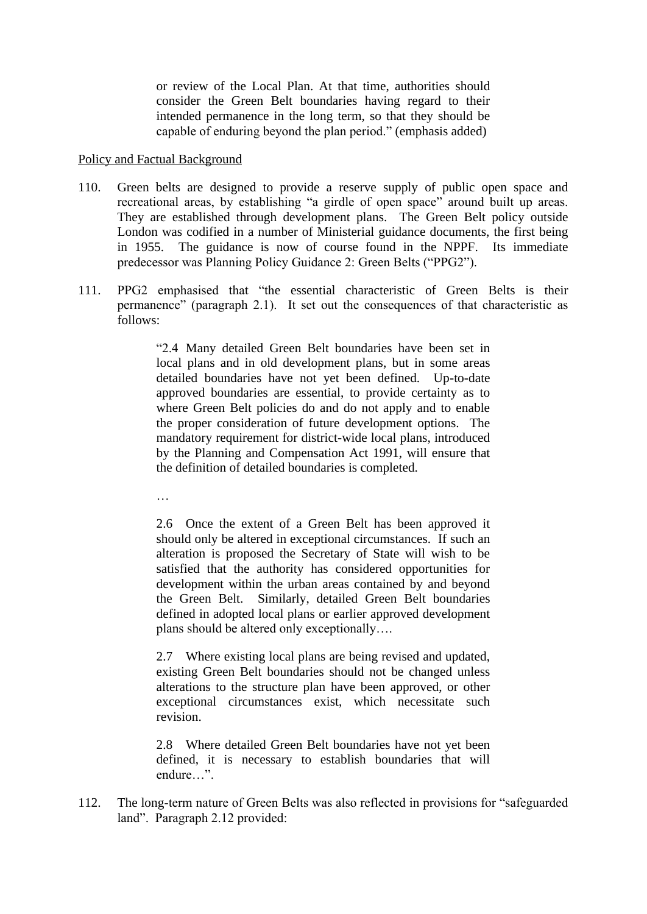or review of the Local Plan. At that time, authorities should consider the Green Belt boundaries having regard to their intended permanence in the long term, so that they should be capable of enduring beyond the plan period." (emphasis added)

#### Policy and Factual Background

- 110. Green belts are designed to provide a reserve supply of public open space and recreational areas, by establishing "a girdle of open space" around built up areas. They are established through development plans. The Green Belt policy outside London was codified in a number of Ministerial guidance documents, the first being in 1955. The guidance is now of course found in the NPPF. Its immediate predecessor was Planning Policy Guidance 2: Green Belts ("PPG2").
- 111. PPG2 emphasised that "the essential characteristic of Green Belts is their permanence" (paragraph 2.1). It set out the consequences of that characteristic as follows:

"2.4 Many detailed Green Belt boundaries have been set in local plans and in old development plans, but in some areas detailed boundaries have not yet been defined. Up-to-date approved boundaries are essential, to provide certainty as to where Green Belt policies do and do not apply and to enable the proper consideration of future development options. The mandatory requirement for district-wide local plans, introduced by the Planning and Compensation Act 1991, will ensure that the definition of detailed boundaries is completed.

…

2.6 Once the extent of a Green Belt has been approved it should only be altered in exceptional circumstances. If such an alteration is proposed the Secretary of State will wish to be satisfied that the authority has considered opportunities for development within the urban areas contained by and beyond the Green Belt. Similarly, detailed Green Belt boundaries defined in adopted local plans or earlier approved development plans should be altered only exceptionally….

2.7 Where existing local plans are being revised and updated, existing Green Belt boundaries should not be changed unless alterations to the structure plan have been approved, or other exceptional circumstances exist, which necessitate such revision.

2.8 Where detailed Green Belt boundaries have not yet been defined, it is necessary to establish boundaries that will endure…".

112. The long-term nature of Green Belts was also reflected in provisions for "safeguarded land". Paragraph 2.12 provided: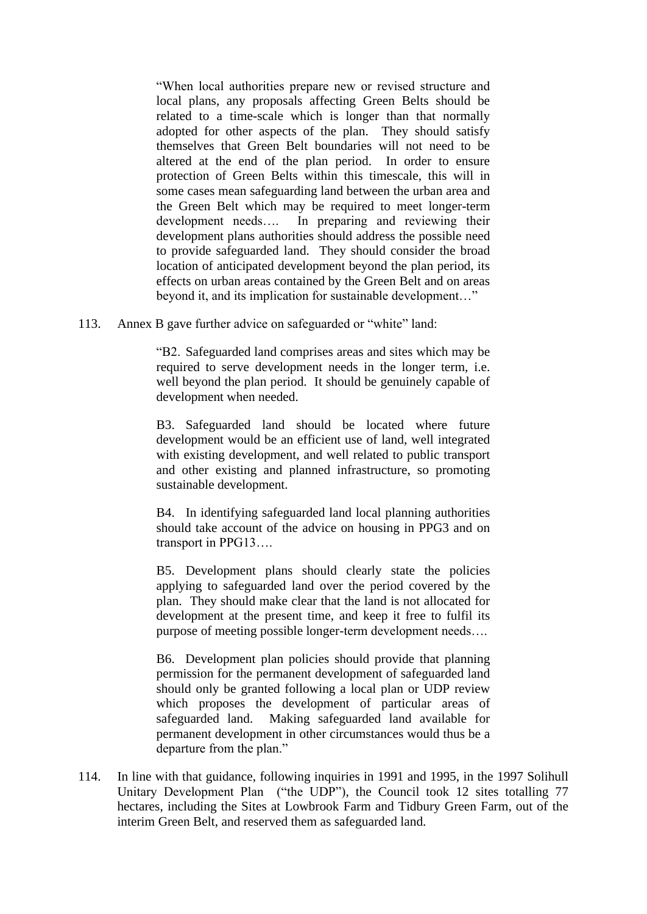"When local authorities prepare new or revised structure and local plans, any proposals affecting Green Belts should be related to a time-scale which is longer than that normally adopted for other aspects of the plan. They should satisfy themselves that Green Belt boundaries will not need to be altered at the end of the plan period. In order to ensure protection of Green Belts within this timescale, this will in some cases mean safeguarding land between the urban area and the Green Belt which may be required to meet longer-term development needs…. In preparing and reviewing their development plans authorities should address the possible need to provide safeguarded land. They should consider the broad location of anticipated development beyond the plan period, its effects on urban areas contained by the Green Belt and on areas beyond it, and its implication for sustainable development…"

113. Annex B gave further advice on safeguarded or "white" land:

"B2. Safeguarded land comprises areas and sites which may be required to serve development needs in the longer term, i.e. well beyond the plan period. It should be genuinely capable of development when needed.

B3. Safeguarded land should be located where future development would be an efficient use of land, well integrated with existing development, and well related to public transport and other existing and planned infrastructure, so promoting sustainable development.

B4. In identifying safeguarded land local planning authorities should take account of the advice on housing in PPG3 and on transport in PPG13….

B5. Development plans should clearly state the policies applying to safeguarded land over the period covered by the plan. They should make clear that the land is not allocated for development at the present time, and keep it free to fulfil its purpose of meeting possible longer-term development needs….

B6. Development plan policies should provide that planning permission for the permanent development of safeguarded land should only be granted following a local plan or UDP review which proposes the development of particular areas of safeguarded land. Making safeguarded land available for permanent development in other circumstances would thus be a departure from the plan."

114. In line with that guidance, following inquiries in 1991 and 1995, in the 1997 Solihull Unitary Development Plan ("the UDP"), the Council took 12 sites totalling 77 hectares, including the Sites at Lowbrook Farm and Tidbury Green Farm, out of the interim Green Belt, and reserved them as safeguarded land.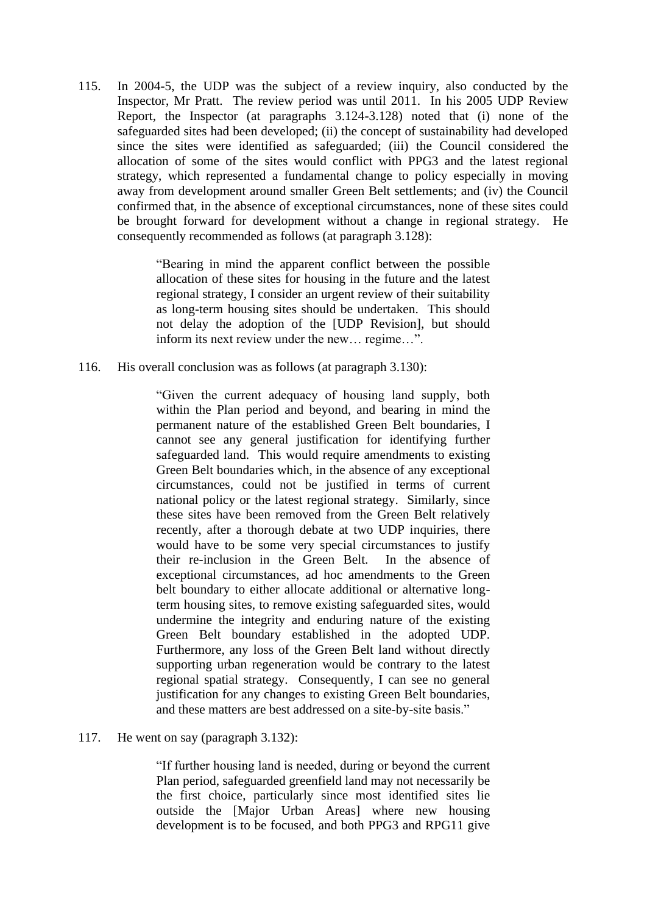115. In 2004-5, the UDP was the subject of a review inquiry, also conducted by the Inspector, Mr Pratt. The review period was until 2011. In his 2005 UDP Review Report, the Inspector (at paragraphs 3.124-3.128) noted that (i) none of the safeguarded sites had been developed; (ii) the concept of sustainability had developed since the sites were identified as safeguarded; (iii) the Council considered the allocation of some of the sites would conflict with PPG3 and the latest regional strategy, which represented a fundamental change to policy especially in moving away from development around smaller Green Belt settlements; and (iv) the Council confirmed that, in the absence of exceptional circumstances, none of these sites could be brought forward for development without a change in regional strategy. He consequently recommended as follows (at paragraph 3.128):

> "Bearing in mind the apparent conflict between the possible allocation of these sites for housing in the future and the latest regional strategy, I consider an urgent review of their suitability as long-term housing sites should be undertaken. This should not delay the adoption of the [UDP Revision], but should inform its next review under the new… regime…".

116. His overall conclusion was as follows (at paragraph 3.130):

"Given the current adequacy of housing land supply, both within the Plan period and beyond, and bearing in mind the permanent nature of the established Green Belt boundaries, I cannot see any general justification for identifying further safeguarded land. This would require amendments to existing Green Belt boundaries which, in the absence of any exceptional circumstances, could not be justified in terms of current national policy or the latest regional strategy. Similarly, since these sites have been removed from the Green Belt relatively recently, after a thorough debate at two UDP inquiries, there would have to be some very special circumstances to justify their re-inclusion in the Green Belt. In the absence of exceptional circumstances, ad hoc amendments to the Green belt boundary to either allocate additional or alternative longterm housing sites, to remove existing safeguarded sites, would undermine the integrity and enduring nature of the existing Green Belt boundary established in the adopted UDP. Furthermore, any loss of the Green Belt land without directly supporting urban regeneration would be contrary to the latest regional spatial strategy. Consequently, I can see no general justification for any changes to existing Green Belt boundaries, and these matters are best addressed on a site-by-site basis."

117. He went on say (paragraph 3.132):

"If further housing land is needed, during or beyond the current Plan period, safeguarded greenfield land may not necessarily be the first choice, particularly since most identified sites lie outside the [Major Urban Areas] where new housing development is to be focused, and both PPG3 and RPG11 give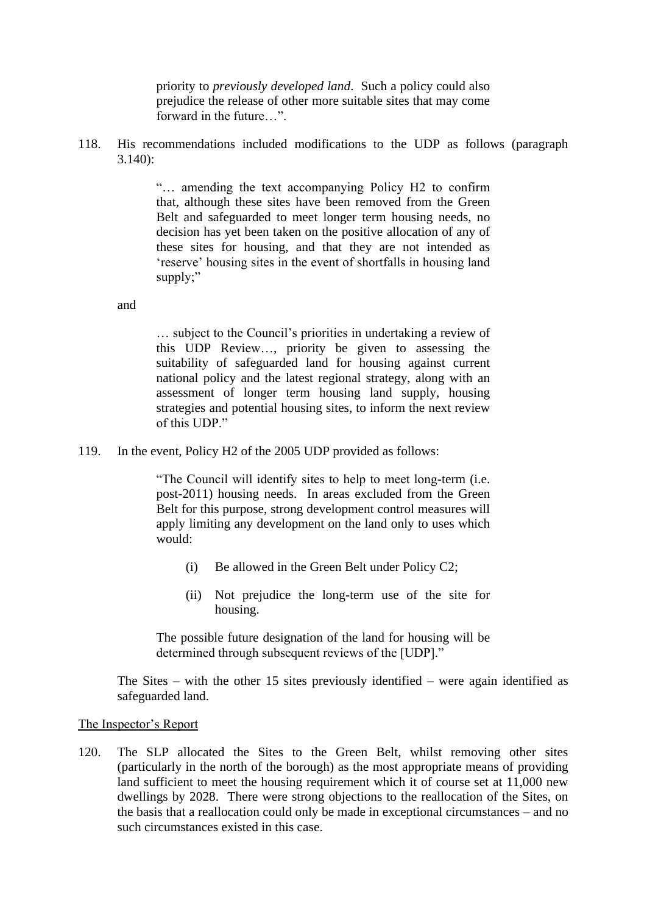priority to *previously developed land*. Such a policy could also prejudice the release of other more suitable sites that may come forward in the future…".

118. His recommendations included modifications to the UDP as follows (paragraph 3.140):

> "… amending the text accompanying Policy H2 to confirm that, although these sites have been removed from the Green Belt and safeguarded to meet longer term housing needs, no decision has yet been taken on the positive allocation of any of these sites for housing, and that they are not intended as 'reserve' housing sites in the event of shortfalls in housing land supply;"

and

… subject to the Council's priorities in undertaking a review of this UDP Review…, priority be given to assessing the suitability of safeguarded land for housing against current national policy and the latest regional strategy, along with an assessment of longer term housing land supply, housing strategies and potential housing sites, to inform the next review of this UDP."

119. In the event, Policy H2 of the 2005 UDP provided as follows:

"The Council will identify sites to help to meet long-term (i.e. post-2011) housing needs. In areas excluded from the Green Belt for this purpose, strong development control measures will apply limiting any development on the land only to uses which would:

- (i) Be allowed in the Green Belt under Policy C2;
- (ii) Not prejudice the long-term use of the site for housing.

The possible future designation of the land for housing will be determined through subsequent reviews of the [UDP]."

The Sites – with the other 15 sites previously identified – were again identified as safeguarded land.

#### The Inspector's Report

120. The SLP allocated the Sites to the Green Belt, whilst removing other sites (particularly in the north of the borough) as the most appropriate means of providing land sufficient to meet the housing requirement which it of course set at 11,000 new dwellings by 2028. There were strong objections to the reallocation of the Sites, on the basis that a reallocation could only be made in exceptional circumstances – and no such circumstances existed in this case.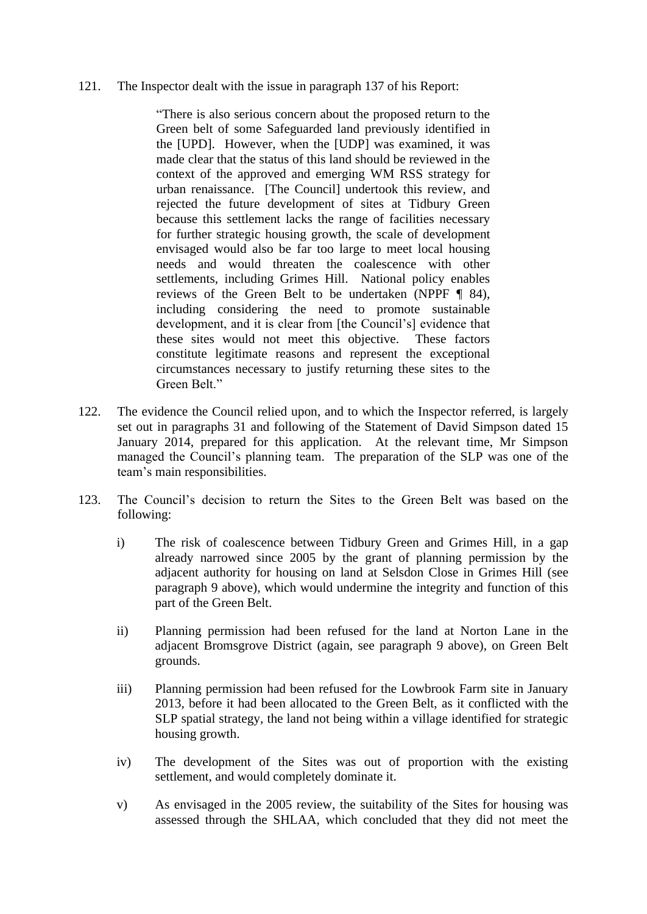#### 121. The Inspector dealt with the issue in paragraph 137 of his Report:

"There is also serious concern about the proposed return to the Green belt of some Safeguarded land previously identified in the [UPD]. However, when the [UDP] was examined, it was made clear that the status of this land should be reviewed in the context of the approved and emerging WM RSS strategy for urban renaissance. [The Council] undertook this review, and rejected the future development of sites at Tidbury Green because this settlement lacks the range of facilities necessary for further strategic housing growth, the scale of development envisaged would also be far too large to meet local housing needs and would threaten the coalescence with other settlements, including Grimes Hill. National policy enables reviews of the Green Belt to be undertaken (NPPF ¶ 84), including considering the need to promote sustainable development, and it is clear from [the Council's] evidence that these sites would not meet this objective. These factors constitute legitimate reasons and represent the exceptional circumstances necessary to justify returning these sites to the Green Belt."

- 122. The evidence the Council relied upon, and to which the Inspector referred, is largely set out in paragraphs 31 and following of the Statement of David Simpson dated 15 January 2014, prepared for this application. At the relevant time, Mr Simpson managed the Council's planning team. The preparation of the SLP was one of the team's main responsibilities.
- 123. The Council's decision to return the Sites to the Green Belt was based on the following:
	- i) The risk of coalescence between Tidbury Green and Grimes Hill, in a gap already narrowed since 2005 by the grant of planning permission by the adjacent authority for housing on land at Selsdon Close in Grimes Hill (see paragraph 9 above), which would undermine the integrity and function of this part of the Green Belt.
	- ii) Planning permission had been refused for the land at Norton Lane in the adjacent Bromsgrove District (again, see paragraph 9 above), on Green Belt grounds.
	- iii) Planning permission had been refused for the Lowbrook Farm site in January 2013, before it had been allocated to the Green Belt, as it conflicted with the SLP spatial strategy, the land not being within a village identified for strategic housing growth.
	- iv) The development of the Sites was out of proportion with the existing settlement, and would completely dominate it.
	- v) As envisaged in the 2005 review, the suitability of the Sites for housing was assessed through the SHLAA, which concluded that they did not meet the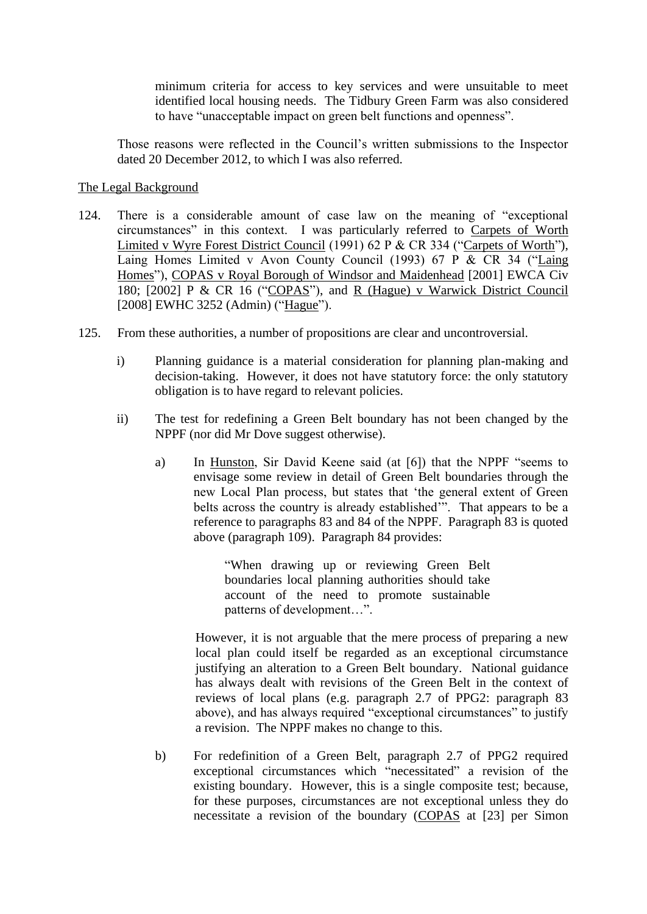minimum criteria for access to key services and were unsuitable to meet identified local housing needs. The Tidbury Green Farm was also considered to have "unacceptable impact on green belt functions and openness".

Those reasons were reflected in the Council's written submissions to the Inspector dated 20 December 2012, to which I was also referred.

# The Legal Background

- 124. There is a considerable amount of case law on the meaning of "exceptional circumstances" in this context. I was particularly referred to Carpets of Worth Limited v Wyre Forest District Council (1991) 62 P & CR 334 ("Carpets of Worth"), Laing Homes Limited v Avon County Council (1993) 67 P & CR 34 ("Laing Homes"), COPAS v Royal Borough of Windsor and Maidenhead [2001] EWCA Civ 180; [2002] P & CR 16 ("COPAS"), and R (Hague) v Warwick District Council [2008] EWHC 3252 (Admin) ("Hague").
- 125. From these authorities, a number of propositions are clear and uncontroversial.
	- i) Planning guidance is a material consideration for planning plan-making and decision-taking. However, it does not have statutory force: the only statutory obligation is to have regard to relevant policies.
	- ii) The test for redefining a Green Belt boundary has not been changed by the NPPF (nor did Mr Dove suggest otherwise).
		- a) In Hunston, Sir David Keene said (at [6]) that the NPPF "seems to envisage some review in detail of Green Belt boundaries through the new Local Plan process, but states that 'the general extent of Green belts across the country is already established'". That appears to be a reference to paragraphs 83 and 84 of the NPPF. Paragraph 83 is quoted above (paragraph 109). Paragraph 84 provides:

"When drawing up or reviewing Green Belt boundaries local planning authorities should take account of the need to promote sustainable patterns of development…".

However, it is not arguable that the mere process of preparing a new local plan could itself be regarded as an exceptional circumstance justifying an alteration to a Green Belt boundary. National guidance has always dealt with revisions of the Green Belt in the context of reviews of local plans (e.g. paragraph 2.7 of PPG2: paragraph 83 above), and has always required "exceptional circumstances" to justify a revision. The NPPF makes no change to this.

b) For redefinition of a Green Belt, paragraph 2.7 of PPG2 required exceptional circumstances which "necessitated" a revision of the existing boundary. However, this is a single composite test; because, for these purposes, circumstances are not exceptional unless they do necessitate a revision of the boundary (COPAS at [23] per Simon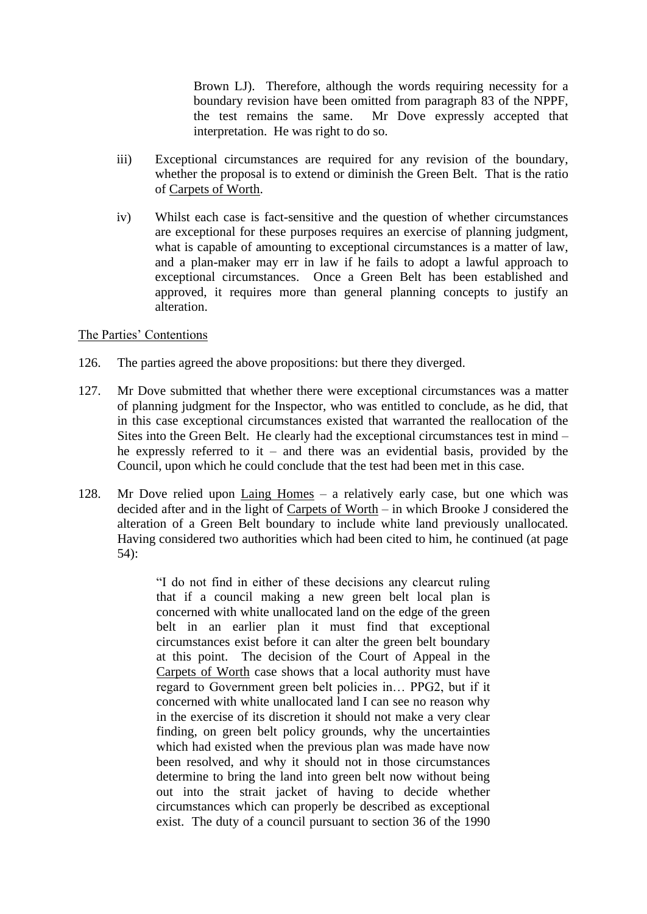Brown LJ). Therefore, although the words requiring necessity for a boundary revision have been omitted from paragraph 83 of the NPPF, the test remains the same. Mr Dove expressly accepted that interpretation. He was right to do so.

- iii) Exceptional circumstances are required for any revision of the boundary, whether the proposal is to extend or diminish the Green Belt. That is the ratio of Carpets of Worth.
- iv) Whilst each case is fact-sensitive and the question of whether circumstances are exceptional for these purposes requires an exercise of planning judgment, what is capable of amounting to exceptional circumstances is a matter of law, and a plan-maker may err in law if he fails to adopt a lawful approach to exceptional circumstances. Once a Green Belt has been established and approved, it requires more than general planning concepts to justify an alteration.

#### The Parties' Contentions

- 126. The parties agreed the above propositions: but there they diverged.
- 127. Mr Dove submitted that whether there were exceptional circumstances was a matter of planning judgment for the Inspector, who was entitled to conclude, as he did, that in this case exceptional circumstances existed that warranted the reallocation of the Sites into the Green Belt. He clearly had the exceptional circumstances test in mind – he expressly referred to it – and there was an evidential basis, provided by the Council, upon which he could conclude that the test had been met in this case.
- 128. Mr Dove relied upon Laing Homes a relatively early case, but one which was decided after and in the light of Carpets of Worth – in which Brooke J considered the alteration of a Green Belt boundary to include white land previously unallocated. Having considered two authorities which had been cited to him, he continued (at page 54):

"I do not find in either of these decisions any clearcut ruling that if a council making a new green belt local plan is concerned with white unallocated land on the edge of the green belt in an earlier plan it must find that exceptional circumstances exist before it can alter the green belt boundary at this point. The decision of the Court of Appeal in the Carpets of Worth case shows that a local authority must have regard to Government green belt policies in… PPG2, but if it concerned with white unallocated land I can see no reason why in the exercise of its discretion it should not make a very clear finding, on green belt policy grounds, why the uncertainties which had existed when the previous plan was made have now been resolved, and why it should not in those circumstances determine to bring the land into green belt now without being out into the strait jacket of having to decide whether circumstances which can properly be described as exceptional exist. The duty of a council pursuant to section 36 of the 1990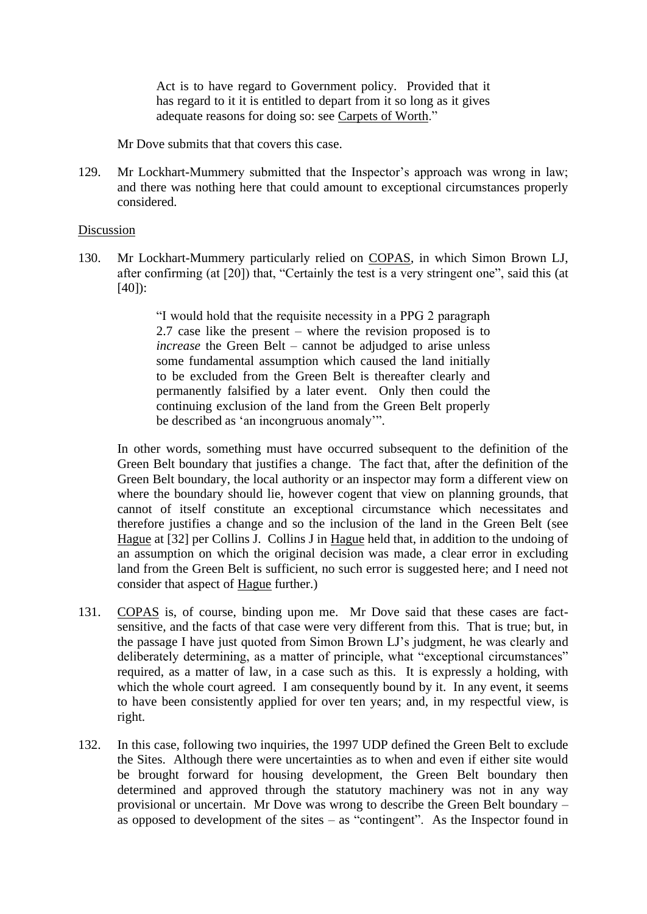Act is to have regard to Government policy. Provided that it has regard to it it is entitled to depart from it so long as it gives adequate reasons for doing so: see Carpets of Worth."

Mr Dove submits that that covers this case.

129. Mr Lockhart-Mummery submitted that the Inspector's approach was wrong in law; and there was nothing here that could amount to exceptional circumstances properly considered.

#### Discussion

130. Mr Lockhart-Mummery particularly relied on COPAS, in which Simon Brown LJ, after confirming (at [20]) that, "Certainly the test is a very stringent one", said this (at  $[40]$ :

> "I would hold that the requisite necessity in a PPG 2 paragraph 2.7 case like the present – where the revision proposed is to *increase* the Green Belt – cannot be adjudged to arise unless some fundamental assumption which caused the land initially to be excluded from the Green Belt is thereafter clearly and permanently falsified by a later event. Only then could the continuing exclusion of the land from the Green Belt properly be described as 'an incongruous anomaly'".

In other words, something must have occurred subsequent to the definition of the Green Belt boundary that justifies a change. The fact that, after the definition of the Green Belt boundary, the local authority or an inspector may form a different view on where the boundary should lie, however cogent that view on planning grounds, that cannot of itself constitute an exceptional circumstance which necessitates and therefore justifies a change and so the inclusion of the land in the Green Belt (see Hague at [32] per Collins J. Collins J in Hague held that, in addition to the undoing of an assumption on which the original decision was made, a clear error in excluding land from the Green Belt is sufficient, no such error is suggested here; and I need not consider that aspect of Hague further.)

- 131. COPAS is, of course, binding upon me. Mr Dove said that these cases are factsensitive, and the facts of that case were very different from this. That is true; but, in the passage I have just quoted from Simon Brown LJ's judgment, he was clearly and deliberately determining, as a matter of principle, what "exceptional circumstances" required, as a matter of law, in a case such as this. It is expressly a holding, with which the whole court agreed. I am consequently bound by it. In any event, it seems to have been consistently applied for over ten years; and, in my respectful view, is right.
- 132. In this case, following two inquiries, the 1997 UDP defined the Green Belt to exclude the Sites. Although there were uncertainties as to when and even if either site would be brought forward for housing development, the Green Belt boundary then determined and approved through the statutory machinery was not in any way provisional or uncertain. Mr Dove was wrong to describe the Green Belt boundary – as opposed to development of the sites – as "contingent". As the Inspector found in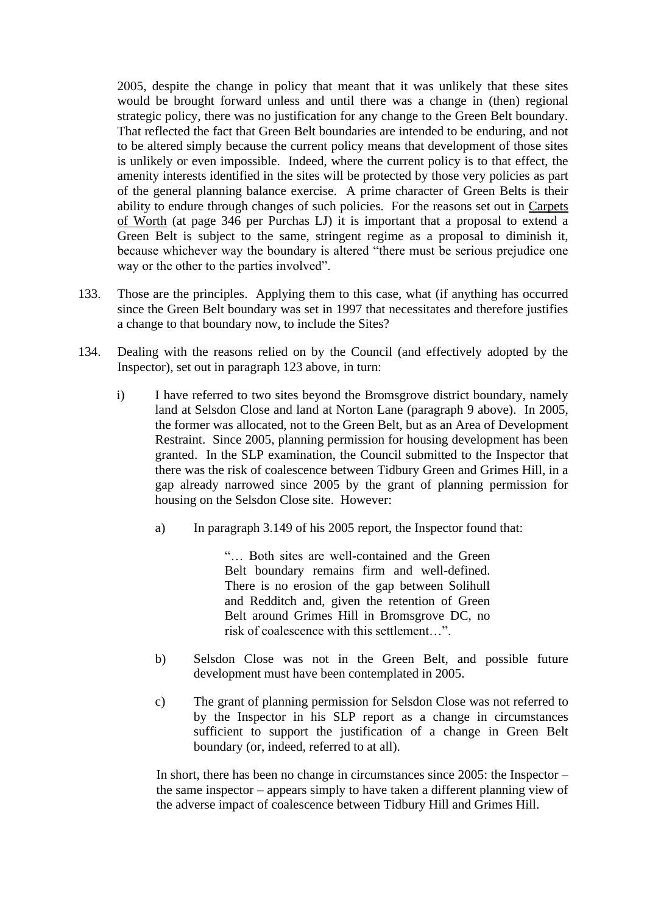2005, despite the change in policy that meant that it was unlikely that these sites would be brought forward unless and until there was a change in (then) regional strategic policy, there was no justification for any change to the Green Belt boundary. That reflected the fact that Green Belt boundaries are intended to be enduring, and not to be altered simply because the current policy means that development of those sites is unlikely or even impossible. Indeed, where the current policy is to that effect, the amenity interests identified in the sites will be protected by those very policies as part of the general planning balance exercise. A prime character of Green Belts is their ability to endure through changes of such policies. For the reasons set out in Carpets of Worth (at page 346 per Purchas LJ) it is important that a proposal to extend a Green Belt is subject to the same, stringent regime as a proposal to diminish it, because whichever way the boundary is altered "there must be serious prejudice one way or the other to the parties involved".

- 133. Those are the principles. Applying them to this case, what (if anything has occurred since the Green Belt boundary was set in 1997 that necessitates and therefore justifies a change to that boundary now, to include the Sites?
- 134. Dealing with the reasons relied on by the Council (and effectively adopted by the Inspector), set out in paragraph 123 above, in turn:
	- i) I have referred to two sites beyond the Bromsgrove district boundary, namely land at Selsdon Close and land at Norton Lane (paragraph 9 above). In 2005, the former was allocated, not to the Green Belt, but as an Area of Development Restraint. Since 2005, planning permission for housing development has been granted. In the SLP examination, the Council submitted to the Inspector that there was the risk of coalescence between Tidbury Green and Grimes Hill, in a gap already narrowed since 2005 by the grant of planning permission for housing on the Selsdon Close site. However:
		- a) In paragraph 3.149 of his 2005 report, the Inspector found that:

"… Both sites are well-contained and the Green Belt boundary remains firm and well-defined. There is no erosion of the gap between Solihull and Redditch and, given the retention of Green Belt around Grimes Hill in Bromsgrove DC, no risk of coalescence with this settlement…".

- b) Selsdon Close was not in the Green Belt, and possible future development must have been contemplated in 2005.
- c) The grant of planning permission for Selsdon Close was not referred to by the Inspector in his SLP report as a change in circumstances sufficient to support the justification of a change in Green Belt boundary (or, indeed, referred to at all).

In short, there has been no change in circumstances since 2005: the Inspector – the same inspector – appears simply to have taken a different planning view of the adverse impact of coalescence between Tidbury Hill and Grimes Hill.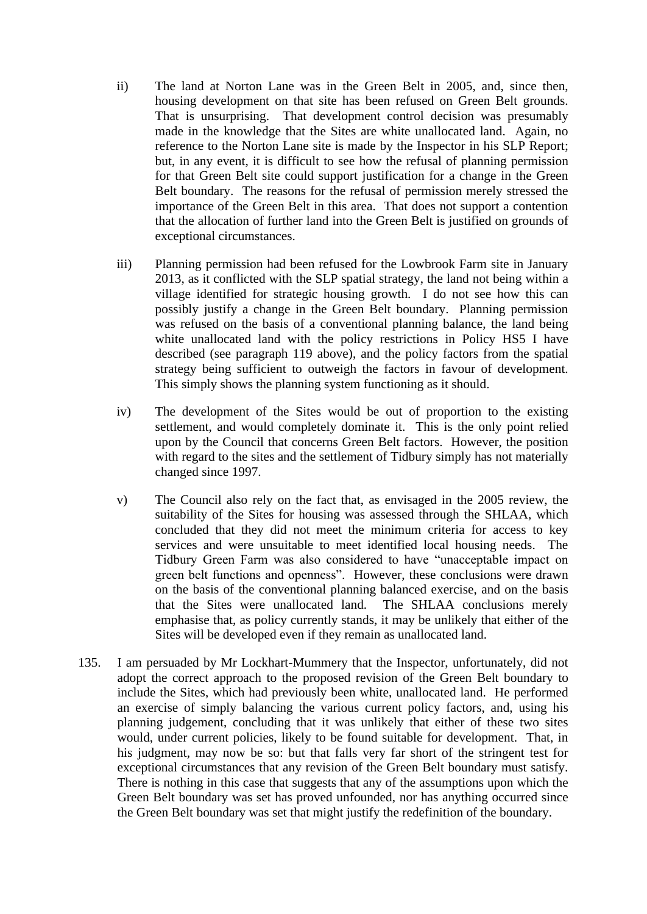- ii) The land at Norton Lane was in the Green Belt in 2005, and, since then, housing development on that site has been refused on Green Belt grounds. That is unsurprising. That development control decision was presumably made in the knowledge that the Sites are white unallocated land. Again, no reference to the Norton Lane site is made by the Inspector in his SLP Report; but, in any event, it is difficult to see how the refusal of planning permission for that Green Belt site could support justification for a change in the Green Belt boundary. The reasons for the refusal of permission merely stressed the importance of the Green Belt in this area. That does not support a contention that the allocation of further land into the Green Belt is justified on grounds of exceptional circumstances.
- iii) Planning permission had been refused for the Lowbrook Farm site in January 2013, as it conflicted with the SLP spatial strategy, the land not being within a village identified for strategic housing growth. I do not see how this can possibly justify a change in the Green Belt boundary. Planning permission was refused on the basis of a conventional planning balance, the land being white unallocated land with the policy restrictions in Policy HS5 I have described (see paragraph 119 above), and the policy factors from the spatial strategy being sufficient to outweigh the factors in favour of development. This simply shows the planning system functioning as it should.
- iv) The development of the Sites would be out of proportion to the existing settlement, and would completely dominate it. This is the only point relied upon by the Council that concerns Green Belt factors. However, the position with regard to the sites and the settlement of Tidbury simply has not materially changed since 1997.
- v) The Council also rely on the fact that, as envisaged in the 2005 review, the suitability of the Sites for housing was assessed through the SHLAA, which concluded that they did not meet the minimum criteria for access to key services and were unsuitable to meet identified local housing needs. The Tidbury Green Farm was also considered to have "unacceptable impact on green belt functions and openness". However, these conclusions were drawn on the basis of the conventional planning balanced exercise, and on the basis that the Sites were unallocated land. The SHLAA conclusions merely emphasise that, as policy currently stands, it may be unlikely that either of the Sites will be developed even if they remain as unallocated land.
- 135. I am persuaded by Mr Lockhart-Mummery that the Inspector, unfortunately, did not adopt the correct approach to the proposed revision of the Green Belt boundary to include the Sites, which had previously been white, unallocated land. He performed an exercise of simply balancing the various current policy factors, and, using his planning judgement, concluding that it was unlikely that either of these two sites would, under current policies, likely to be found suitable for development. That, in his judgment, may now be so: but that falls very far short of the stringent test for exceptional circumstances that any revision of the Green Belt boundary must satisfy. There is nothing in this case that suggests that any of the assumptions upon which the Green Belt boundary was set has proved unfounded, nor has anything occurred since the Green Belt boundary was set that might justify the redefinition of the boundary.